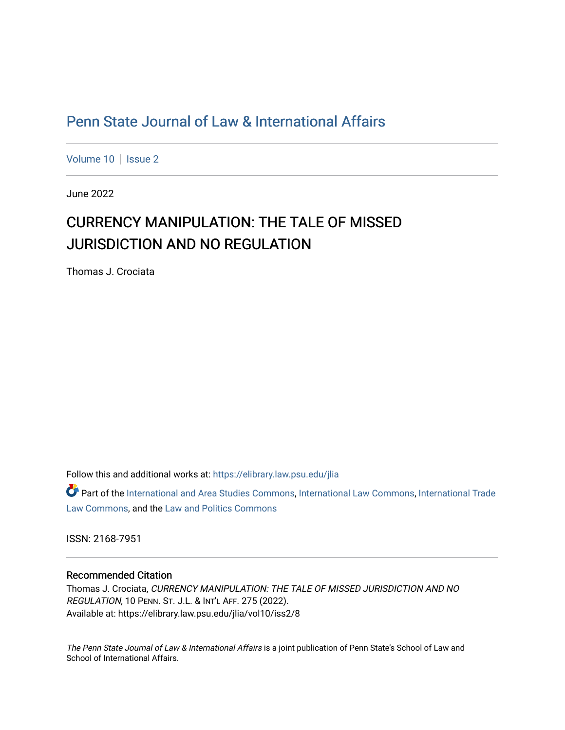# [Penn State Journal of Law & International Affairs](https://elibrary.law.psu.edu/jlia)

[Volume 10](https://elibrary.law.psu.edu/jlia/vol10) | [Issue 2](https://elibrary.law.psu.edu/jlia/vol10/iss2)

June 2022

# CURRENCY MANIPULATION: THE TALE OF MISSED JURISDICTION AND NO REGULATION

Thomas J. Crociata

Follow this and additional works at: [https://elibrary.law.psu.edu/jlia](https://elibrary.law.psu.edu/jlia?utm_source=elibrary.law.psu.edu%2Fjlia%2Fvol10%2Fiss2%2F8&utm_medium=PDF&utm_campaign=PDFCoverPages) 

Part of the [International and Area Studies Commons,](https://network.bepress.com/hgg/discipline/360?utm_source=elibrary.law.psu.edu%2Fjlia%2Fvol10%2Fiss2%2F8&utm_medium=PDF&utm_campaign=PDFCoverPages) [International Law Commons](https://network.bepress.com/hgg/discipline/609?utm_source=elibrary.law.psu.edu%2Fjlia%2Fvol10%2Fiss2%2F8&utm_medium=PDF&utm_campaign=PDFCoverPages), [International Trade](https://network.bepress.com/hgg/discipline/848?utm_source=elibrary.law.psu.edu%2Fjlia%2Fvol10%2Fiss2%2F8&utm_medium=PDF&utm_campaign=PDFCoverPages) [Law Commons,](https://network.bepress.com/hgg/discipline/848?utm_source=elibrary.law.psu.edu%2Fjlia%2Fvol10%2Fiss2%2F8&utm_medium=PDF&utm_campaign=PDFCoverPages) and the [Law and Politics Commons](https://network.bepress.com/hgg/discipline/867?utm_source=elibrary.law.psu.edu%2Fjlia%2Fvol10%2Fiss2%2F8&utm_medium=PDF&utm_campaign=PDFCoverPages)

ISSN: 2168-7951

### Recommended Citation

Thomas J. Crociata, CURRENCY MANIPULATION: THE TALE OF MISSED JURISDICTION AND NO REGULATION, 10 PENN. ST. J.L. & INT'L AFF. 275 (2022). Available at: https://elibrary.law.psu.edu/jlia/vol10/iss2/8

The Penn State Journal of Law & International Affairs is a joint publication of Penn State's School of Law and School of International Affairs.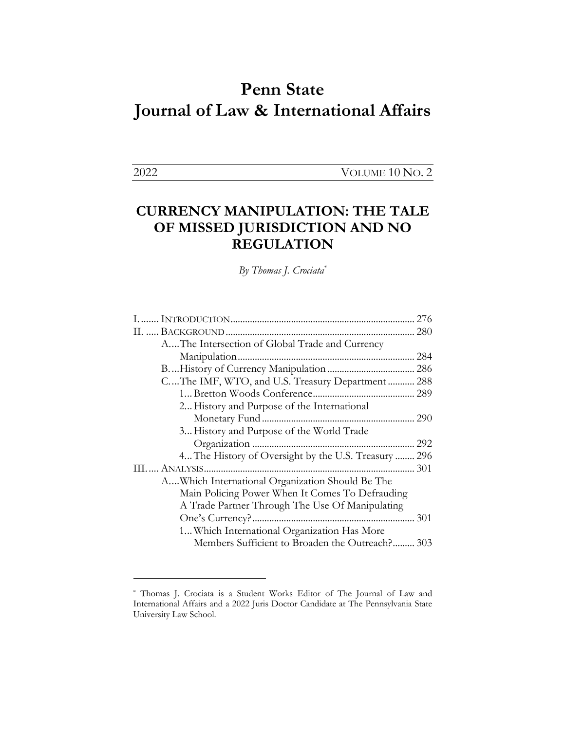# **Penn State Journal of Law & International Affairs**

2022 VOLUME 10 NO. 2

# **CURRENCY MANIPULATION: THE TALE OF MISSED JURISDICTION AND NO REGULATION**

*By Thomas J. Crociata\**

|                                                      | 276 |
|------------------------------------------------------|-----|
|                                                      |     |
| AThe Intersection of Global Trade and Currency       |     |
|                                                      | 284 |
|                                                      |     |
| CThe IMF, WTO, and U.S. Treasury Department 288      |     |
|                                                      |     |
| 2 History and Purpose of the International           |     |
|                                                      |     |
| 3 History and Purpose of the World Trade             |     |
|                                                      |     |
| 4 The History of Oversight by the U.S. Treasury  296 |     |
|                                                      |     |
| AWhich International Organization Should Be The      |     |
| Main Policing Power When It Comes To Defrauding      |     |
| A Trade Partner Through The Use Of Manipulating      |     |
|                                                      | 301 |
| 1 Which International Organization Has More          |     |
| Members Sufficient to Broaden the Outreach? 303      |     |
|                                                      |     |

<sup>\*</sup> Thomas J. Crociata is a Student Works Editor of The Journal of Law and International Affairs and a 2022 Juris Doctor Candidate at The Pennsylvania State University Law School.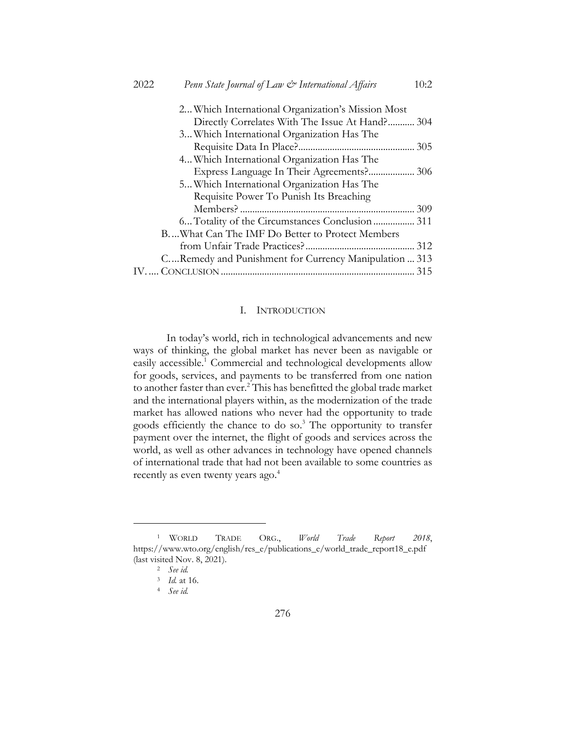| Penn State Journal of Law & International Affairs<br>2022<br>10:2 |
|-------------------------------------------------------------------|
| 2 Which International Organization's Mission Most                 |
| Directly Correlates With The Issue At Hand? 304                   |
| 3 Which International Organization Has The                        |
| 305                                                               |
| 4 Which International Organization Has The                        |
| Express Language In Their Agreements? 306                         |
| 5 Which International Organization Has The                        |
| Requisite Power To Punish Its Breaching                           |
|                                                                   |
|                                                                   |
| BWhat Can The IMF Do Better to Protect Members                    |
|                                                                   |
| CRemedy and Punishment for Currency Manipulation  313             |
|                                                                   |

#### I. INTRODUCTION

In today's world, rich in technological advancements and new ways of thinking, the global market has never been as navigable or easily accessible.<sup>1</sup> Commercial and technological developments allow for goods, services, and payments to be transferred from one nation to another faster than ever.<sup>2</sup> This has benefitted the global trade market and the international players within, as the modernization of the trade market has allowed nations who never had the opportunity to trade goods efficiently the chance to do so.<sup>3</sup> The opportunity to transfer payment over the internet, the flight of goods and services across the world, as well as other advances in technology have opened channels of international trade that had not been available to some countries as recently as even twenty years ago.<sup>4</sup>

<sup>1</sup> WORLD TRADE ORG., *World Trade Report 2018*, https://www.wto.org/english/res\_e/publications\_e/world\_trade\_report18\_e.pdf (last visited Nov. 8, 2021).

<sup>2</sup> *See id.*

<sup>3</sup> *Id.* at 16.

<sup>4</sup> *See id.*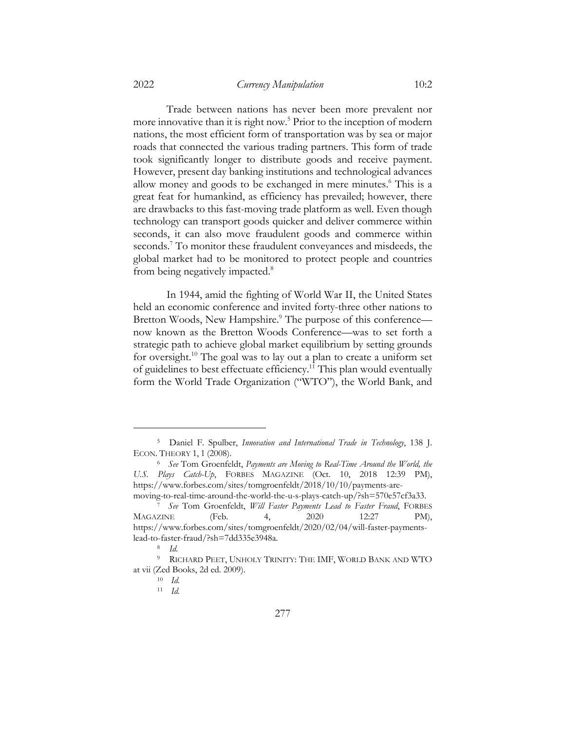Trade between nations has never been more prevalent nor more innovative than it is right now.<sup>5</sup> Prior to the inception of modern nations, the most efficient form of transportation was by sea or major roads that connected the various trading partners. This form of trade took significantly longer to distribute goods and receive payment. However, present day banking institutions and technological advances allow money and goods to be exchanged in mere minutes.<sup>6</sup> This is a great feat for humankind, as efficiency has prevailed; however, there are drawbacks to this fast-moving trade platform as well. Even though technology can transport goods quicker and deliver commerce within seconds, it can also move fraudulent goods and commerce within seconds.<sup>7</sup> To monitor these fraudulent conveyances and misdeeds, the global market had to be monitored to protect people and countries from being negatively impacted.<sup>8</sup>

In 1944, amid the fighting of World War II, the United States held an economic conference and invited forty-three other nations to Bretton Woods, New Hampshire.<sup>9</sup> The purpose of this conference now known as the Bretton Woods Conference—was to set forth a strategic path to achieve global market equilibrium by setting grounds for oversight.10 The goal was to lay out a plan to create a uniform set of guidelines to best effectuate efficiency.<sup>11</sup> This plan would eventually form the World Trade Organization ("WTO"), the World Bank, and

<sup>5</sup> Daniel F. Spulber, *Innovation and International Trade in Technology*, 138 J. ECON. THEORY 1, 1 (2008).

<sup>6</sup> *See* Tom Groenfeldt, *Payments are Moving to Real-Time Around the World, the U.S. Plays Catch-Up*, FORBES MAGAZINE (Oct. 10, 2018 12:39 PM), https://www.forbes.com/sites/tomgroenfeldt/2018/10/10/payments-aremoving-to-real-time-around-the-world-the-u-s-plays-catch-up/?sh=570e57cf3a33.

<sup>7</sup> *See* Tom Groenfeldt, *Will Faster Payments Lead to Faster Fraud*, FORBES MAGAZINE (Feb. 4, 2020 12:27 PM), https://www.forbes.com/sites/tomgroenfeldt/2020/02/04/will-faster-paymentslead-to-faster-fraud/?sh=7dd335e3948a.

<sup>8</sup> *Id.*

<sup>9</sup> RICHARD PEET, UNHOLY TRINITY: THE IMF, WORLD BANK AND WTO at vii (Zed Books, 2d ed. 2009).

<sup>10</sup> *Id.*

<sup>11</sup> *Id.*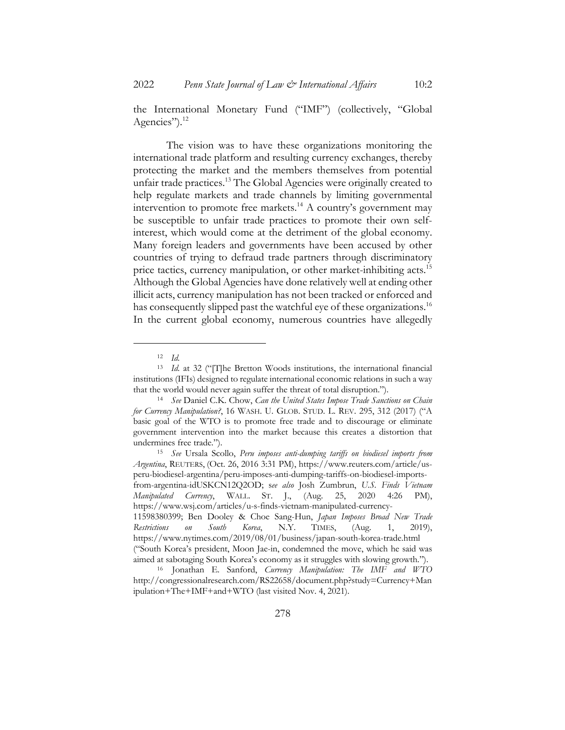the International Monetary Fund ("IMF") (collectively, "Global Agencies").<sup>12</sup>

The vision was to have these organizations monitoring the international trade platform and resulting currency exchanges, thereby protecting the market and the members themselves from potential unfair trade practices.<sup>13</sup> The Global Agencies were originally created to help regulate markets and trade channels by limiting governmental intervention to promote free markets.<sup>14</sup> A country's government may be susceptible to unfair trade practices to promote their own selfinterest, which would come at the detriment of the global economy. Many foreign leaders and governments have been accused by other countries of trying to defraud trade partners through discriminatory price tactics, currency manipulation, or other market-inhibiting acts.<sup>15</sup> Although the Global Agencies have done relatively well at ending other illicit acts, currency manipulation has not been tracked or enforced and has consequently slipped past the watchful eye of these organizations.<sup>16</sup> In the current global economy, numerous countries have allegedly

<sup>12</sup> *Id.*

<sup>13</sup> *Id.* at 32 ("[T]he Bretton Woods institutions, the international financial institutions (IFIs) designed to regulate international economic relations in such a way that the world would never again suffer the threat of total disruption.").

<sup>14</sup> *See* Daniel C.K. Chow, *Can the United States Impose Trade Sanctions on Chain for Currency Manipulation?*, 16 WASH. U. GLOB. STUD. L. REV. 295, 312 (2017) ("A basic goal of the WTO is to promote free trade and to discourage or eliminate government intervention into the market because this creates a distortion that undermines free trade.").

<sup>15</sup> *See* Ursala Scollo, *Peru imposes anti-dumping tariffs on biodiesel imports from Argentina*, REUTERS, (Oct. 26, 2016 3:31 PM), https://www.reuters.com/article/usperu-biodiesel-argentina/peru-imposes-anti-dumping-tariffs-on-biodiesel-importsfrom-argentina-idUSKCN12Q2OD; s*ee also* Josh Zumbrun, *U.S. Finds Vietnam Manipulated Currency*, WALL. ST. J., (Aug. 25, 2020 4:26 PM), https://www.wsj.com/articles/u-s-finds-vietnam-manipulated-currency-11598380399; Ben Dooley & Choe Sang-Hun, *Japan Imposes Broad New Trade Restrictions on South Korea*, N.Y. TIMES, (Aug. 1, 2019),

https://www.nytimes.com/2019/08/01/business/japan-south-korea-trade.html ("South Korea's president, Moon Jae-in, condemned the move, which he said was aimed at sabotaging South Korea's economy as it struggles with slowing growth.").

<sup>16</sup> Jonathan E. Sanford, *Currency Manipulation: The IMF and WTO*  http://congressionalresearch.com/RS22658/document.php?study=Currency+Man ipulation+The+IMF+and+WTO (last visited Nov. 4, 2021).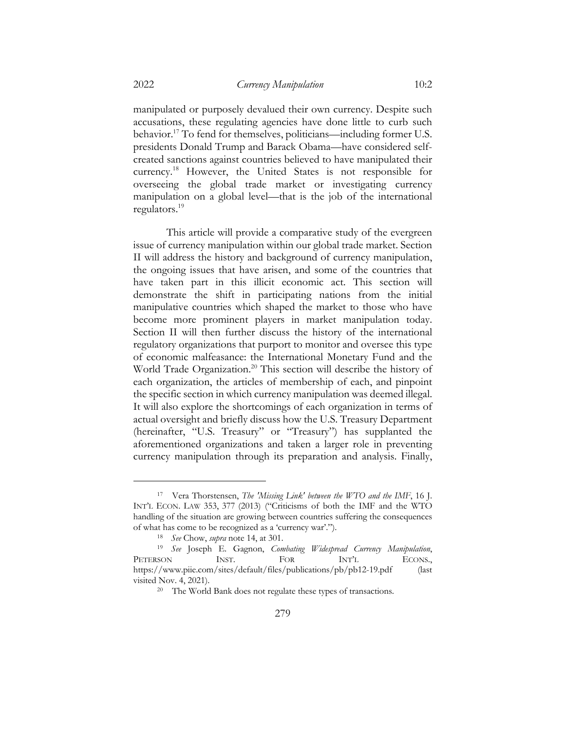manipulated or purposely devalued their own currency. Despite such accusations, these regulating agencies have done little to curb such behavior.17 To fend for themselves, politicians—including former U.S. presidents Donald Trump and Barack Obama—have considered selfcreated sanctions against countries believed to have manipulated their currency.18 However, the United States is not responsible for overseeing the global trade market or investigating currency manipulation on a global level—that is the job of the international regulators.19

This article will provide a comparative study of the evergreen issue of currency manipulation within our global trade market. Section II will address the history and background of currency manipulation, the ongoing issues that have arisen, and some of the countries that have taken part in this illicit economic act. This section will demonstrate the shift in participating nations from the initial manipulative countries which shaped the market to those who have become more prominent players in market manipulation today. Section II will then further discuss the history of the international regulatory organizations that purport to monitor and oversee this type of economic malfeasance: the International Monetary Fund and the World Trade Organization.<sup>20</sup> This section will describe the history of each organization, the articles of membership of each, and pinpoint the specific section in which currency manipulation was deemed illegal. It will also explore the shortcomings of each organization in terms of actual oversight and briefly discuss how the U.S. Treasury Department (hereinafter, "U.S. Treasury" or "Treasury") has supplanted the aforementioned organizations and taken a larger role in preventing currency manipulation through its preparation and analysis. Finally,

<sup>17</sup> Vera Thorstensen, *The ′Missing Link′ between the WTO and the IMF*, 16 J. INT'L ECON. LAW 353, 377 (2013) ("Criticisms of both the IMF and the WTO handling of the situation are growing between countries suffering the consequences of what has come to be recognized as a 'currency war'.").

<sup>18</sup> *See* Chow, *supra* note 14, at 301.

<sup>19</sup> *See* Joseph E. Gagnon, *Combating Widespread Currency Manipulation*, PETERSON INST. FOR INT'L ECONS., https://www.piie.com/sites/default/files/publications/pb/pb12-19.pdf (last visited Nov. 4, 2021).

<sup>20</sup> The World Bank does not regulate these types of transactions.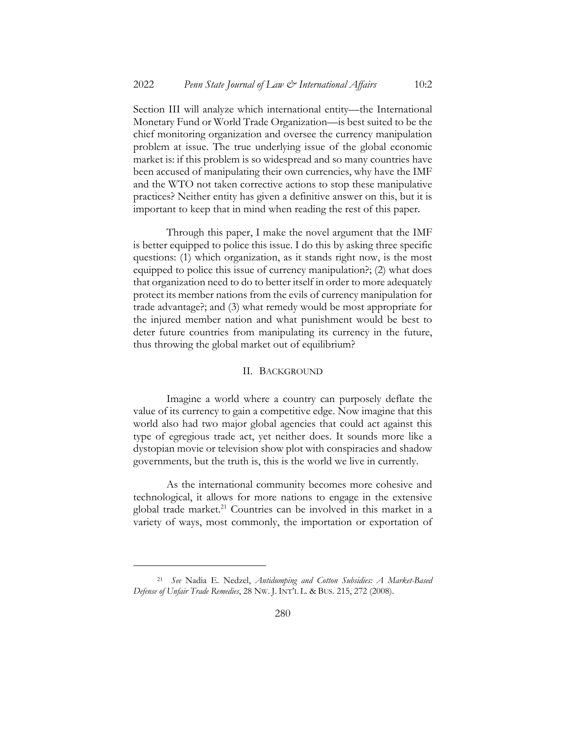Section III will analyze which international entity—the International Monetary Fund or World Trade Organization—is best suited to be the chief monitoring organization and oversee the currency manipulation problem at issue. The true underlying issue of the global economic market is: if this problem is so widespread and so many countries have been accused of manipulating their own currencies, why have the IMF and the WTO not taken corrective actions to stop these manipulative practices? Neither entity has given a definitive answer on this, but it is important to keep that in mind when reading the rest of this paper.

Through this paper, I make the novel argument that the IMF is better equipped to police this issue. I do this by asking three specific questions: (1) which organization, as it stands right now, is the most equipped to police this issue of currency manipulation?; (2) what does that organization need to do to better itself in order to more adequately protect its member nations from the evils of currency manipulation for trade advantage?; and (3) what remedy would be most appropriate for the injured member nation and what punishment would be best to deter future countries from manipulating its currency in the future, thus throwing the global market out of equilibrium?

### II. BACKGROUND

Imagine a world where a country can purposely deflate the value of its currency to gain a competitive edge. Now imagine that this world also had two major global agencies that could act against this type of egregious trade act, yet neither does. It sounds more like a dystopian movie or television show plot with conspiracies and shadow governments, but the truth is, this is the world we live in currently.

As the international community becomes more cohesive and technological, it allows for more nations to engage in the extensive global trade market. $21$  Countries can be involved in this market in a variety of ways, most commonly, the importation or exportation of

<sup>21</sup> *See* Nadia E. Nedzel, *Antidumping and Cotton Subsidies: A Market-Based Defense of Unfair Trade Remedies*, 28 NW. J. INT'L L. & BUS. 215, 272 (2008).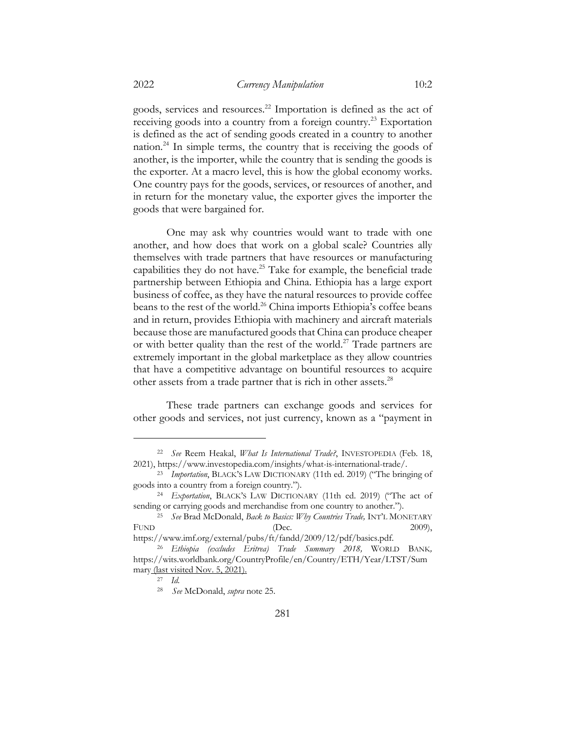goods, services and resources.22 Importation is defined as the act of receiving goods into a country from a foreign country.<sup>23</sup> Exportation is defined as the act of sending goods created in a country to another nation.24 In simple terms, the country that is receiving the goods of another, is the importer, while the country that is sending the goods is the exporter. At a macro level, this is how the global economy works. One country pays for the goods, services, or resources of another, and in return for the monetary value, the exporter gives the importer the goods that were bargained for.

One may ask why countries would want to trade with one another, and how does that work on a global scale? Countries ally themselves with trade partners that have resources or manufacturing capabilities they do not have.<sup>25</sup> Take for example, the beneficial trade partnership between Ethiopia and China. Ethiopia has a large export business of coffee, as they have the natural resources to provide coffee beans to the rest of the world.<sup>26</sup> China imports Ethiopia's coffee beans and in return, provides Ethiopia with machinery and aircraft materials because those are manufactured goods that China can produce cheaper or with better quality than the rest of the world.<sup>27</sup> Trade partners are extremely important in the global marketplace as they allow countries that have a competitive advantage on bountiful resources to acquire other assets from a trade partner that is rich in other assets.<sup>28</sup>

These trade partners can exchange goods and services for other goods and services, not just currency, known as a "payment in

<sup>22</sup> *See* Reem Heakal, *What Is International Trade?*, INVESTOPEDIA (Feb. 18, 2021), https://www.investopedia.com/insights/what-is-international-trade/.

<sup>23</sup> *Importation*, BLACK'S LAW DICTIONARY (11th ed. 2019) ("The bringing of goods into a country from a foreign country.").

<sup>24</sup> *Exportation*, BLACK'S LAW DICTIONARY (11th ed. 2019) ("The act of sending or carrying goods and merchandise from one country to another.").

<sup>25</sup> *See* Brad McDonald, *Back to Basics: Why Countries Trade,* INT'L MONETARY FUND (Dec. 2009),

https://www.imf.org/external/pubs/ft/fandd/2009/12/pdf/basics.pdf. <sup>26</sup> *Ethiopia (excludes Eritrea) Trade Summary 2018,* WORLD BANK*,* 

https://wits.worldbank.org/CountryProfile/en/Country/ETH/Year/LTST/Sum mary (last visited Nov. 5, 2021).

<sup>27</sup> *Id.*

<sup>28</sup> *See* McDonald, *supra* note 25.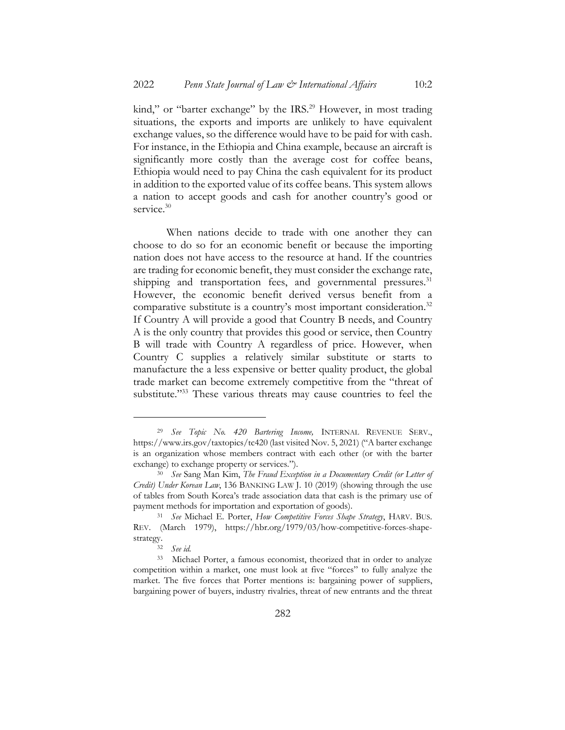kind," or "barter exchange" by the IRS.<sup>29</sup> However, in most trading situations, the exports and imports are unlikely to have equivalent exchange values, so the difference would have to be paid for with cash. For instance, in the Ethiopia and China example, because an aircraft is significantly more costly than the average cost for coffee beans, Ethiopia would need to pay China the cash equivalent for its product in addition to the exported value of its coffee beans. This system allows a nation to accept goods and cash for another country's good or service.<sup>30</sup>

When nations decide to trade with one another they can choose to do so for an economic benefit or because the importing nation does not have access to the resource at hand. If the countries are trading for economic benefit, they must consider the exchange rate, shipping and transportation fees, and governmental pressures.<sup>31</sup> However, the economic benefit derived versus benefit from a comparative substitute is a country's most important consideration.<sup>32</sup> If Country A will provide a good that Country B needs, and Country A is the only country that provides this good or service, then Country B will trade with Country A regardless of price. However, when Country C supplies a relatively similar substitute or starts to manufacture the a less expensive or better quality product, the global trade market can become extremely competitive from the "threat of substitute."<sup>33</sup> These various threats may cause countries to feel the

<sup>29</sup> *See Topic No. 420 Bartering Income,* INTERNAL REVENUE SERV., https://www.irs.gov/taxtopics/tc420 (last visited Nov. 5, 2021) ("A barter exchange is an organization whose members contract with each other (or with the barter exchange) to exchange property or services.").

<sup>30</sup> *See* Sang Man Kim, *The Fraud Exception in a Documentary Credit (or Letter of Credit) Under Korean Law*, 136 BANKING LAW J. 10 (2019) (showing through the use of tables from South Korea's trade association data that cash is the primary use of payment methods for importation and exportation of goods).

<sup>31</sup> *See* Michael E. Porter, *How Competitive Forces Shape Strategy*, HARV. BUS. REV. (March 1979), https://hbr.org/1979/03/how-competitive-forces-shapestrategy.

<sup>32</sup> *See id.*

<sup>33</sup> Michael Porter, a famous economist, theorized that in order to analyze competition within a market, one must look at five "forces" to fully analyze the market. The five forces that Porter mentions is: bargaining power of suppliers, bargaining power of buyers, industry rivalries, threat of new entrants and the threat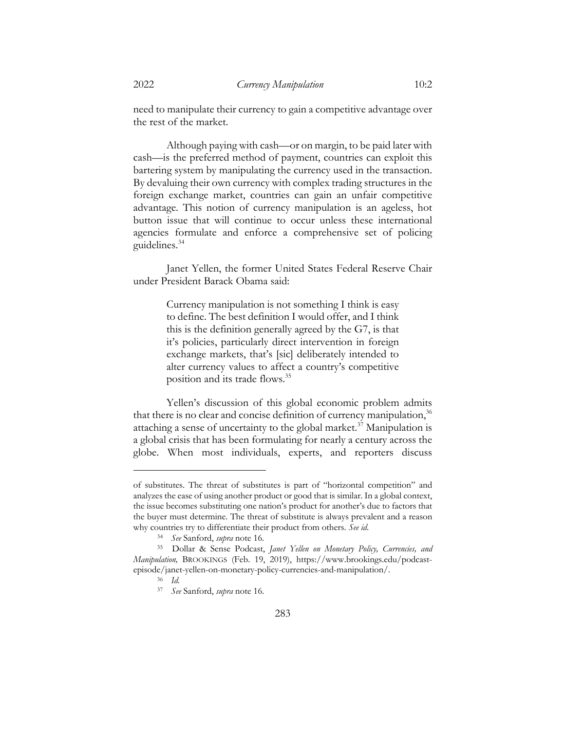need to manipulate their currency to gain a competitive advantage over the rest of the market.

Although paying with cash—or on margin, to be paid later with cash—is the preferred method of payment, countries can exploit this bartering system by manipulating the currency used in the transaction. By devaluing their own currency with complex trading structures in the foreign exchange market, countries can gain an unfair competitive advantage. This notion of currency manipulation is an ageless, hot button issue that will continue to occur unless these international agencies formulate and enforce a comprehensive set of policing guidelines.34

Janet Yellen, the former United States Federal Reserve Chair under President Barack Obama said:

> Currency manipulation is not something I think is easy to define. The best definition I would offer, and I think this is the definition generally agreed by the G7, is that it's policies, particularly direct intervention in foreign exchange markets, that's [sic] deliberately intended to alter currency values to affect a country's competitive position and its trade flows.35

Yellen's discussion of this global economic problem admits that there is no clear and concise definition of currency manipulation,  $36$ attaching a sense of uncertainty to the global market.<sup>37</sup> Manipulation is a global crisis that has been formulating for nearly a century across the globe. When most individuals, experts, and reporters discuss

of substitutes. The threat of substitutes is part of "horizontal competition" and analyzes the ease of using another product or good that is similar. In a global context, the issue becomes substituting one nation's product for another's due to factors that the buyer must determine. The threat of substitute is always prevalent and a reason why countries try to differentiate their product from others. *See id*.

<sup>34</sup> *See* Sanford, *supra* note 16.

<sup>35</sup> Dollar & Sense Podcast, *Janet Yellen on Monetary Policy, Currencies, and Manipulation,* BROOKINGS (Feb. 19, 2019), https://www.brookings.edu/podcastepisode/janet-yellen-on-monetary-policy-currencies-and-manipulation/.

<sup>36</sup> *Id.*

<sup>37</sup> *See* Sanford, *supra* note 16.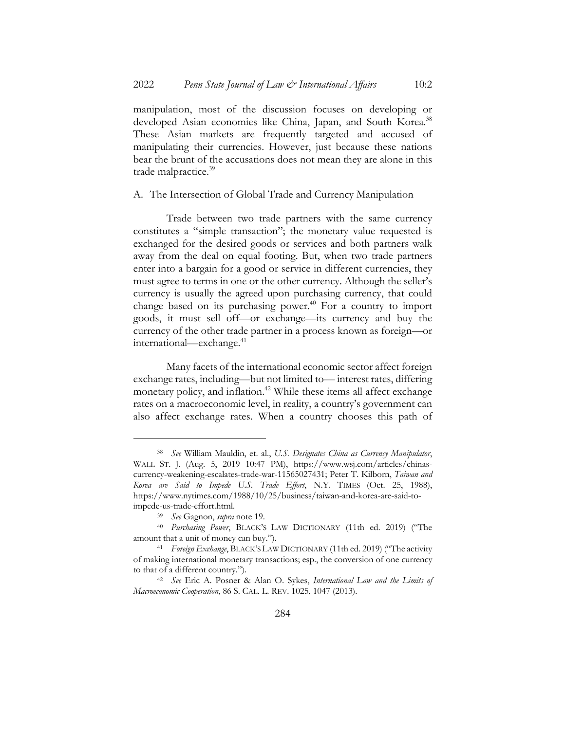manipulation, most of the discussion focuses on developing or developed Asian economies like China, Japan, and South Korea.<sup>38</sup> These Asian markets are frequently targeted and accused of manipulating their currencies. However, just because these nations bear the brunt of the accusations does not mean they are alone in this trade malpractice.<sup>39</sup>

A. The Intersection of Global Trade and Currency Manipulation

Trade between two trade partners with the same currency constitutes a "simple transaction"; the monetary value requested is exchanged for the desired goods or services and both partners walk away from the deal on equal footing. But, when two trade partners enter into a bargain for a good or service in different currencies, they must agree to terms in one or the other currency. Although the seller's currency is usually the agreed upon purchasing currency, that could change based on its purchasing power. $40$  For a country to import goods, it must sell off—or exchange—its currency and buy the currency of the other trade partner in a process known as foreign—or international—exchange.<sup>41</sup>

Many facets of the international economic sector affect foreign exchange rates, including—but not limited to— interest rates, differing monetary policy, and inflation.<sup>42</sup> While these items all affect exchange rates on a macroeconomic level, in reality, a country's government can also affect exchange rates. When a country chooses this path of

<sup>38</sup> *See* William Mauldin, et. al., *U.S. Designates China as Currency Manipulator*, WALL ST. J. (Aug. 5, 2019 10:47 PM), https://www.wsj.com/articles/chinascurrency-weakening-escalates-trade-war-11565027431; Peter T. Kilborn, *Taiwan and Korea are Said to Impede U.S. Trade Effort*, N.Y. TIMES (Oct. 25, 1988), https://www.nytimes.com/1988/10/25/business/taiwan-and-korea-are-said-toimpede-us-trade-effort.html.

<sup>39</sup> *See* Gagnon, *supra* note 19.

<sup>40</sup> *Purchasing Power*, BLACK'S LAW DICTIONARY (11th ed. 2019) ("The amount that a unit of money can buy.").

<sup>41</sup> *Foreign Exchange*, BLACK'S LAW DICTIONARY (11th ed. 2019) ("The activity of making international monetary transactions; esp., the conversion of one currency to that of a different country.").

<sup>42</sup> *See* Eric A. Posner & Alan O. Sykes, *International Law and the Limits of Macroeconomic Cooperation*, 86 S. CAL. L. REV. 1025, 1047 (2013).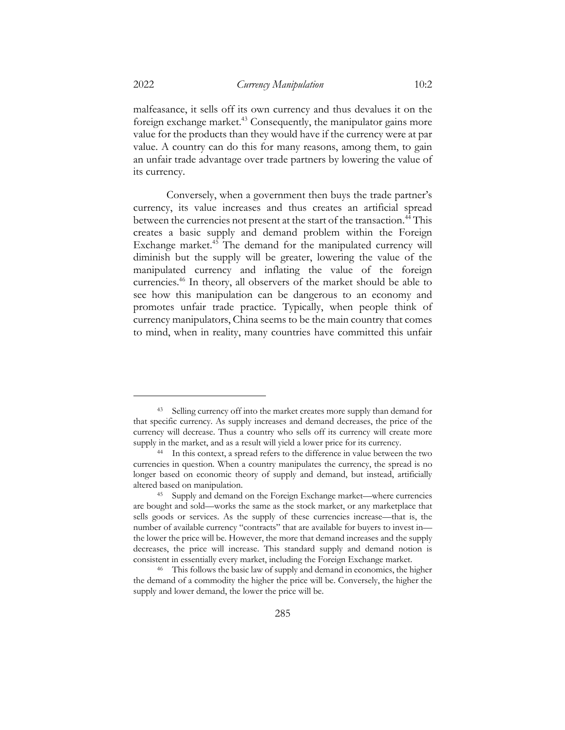malfeasance, it sells off its own currency and thus devalues it on the foreign exchange market.<sup>43</sup> Consequently, the manipulator gains more value for the products than they would have if the currency were at par value. A country can do this for many reasons, among them, to gain an unfair trade advantage over trade partners by lowering the value of

Conversely, when a government then buys the trade partner's currency, its value increases and thus creates an artificial spread between the currencies not present at the start of the transaction.<sup>44</sup> This creates a basic supply and demand problem within the Foreign Exchange market.<sup>45</sup> The demand for the manipulated currency will diminish but the supply will be greater, lowering the value of the manipulated currency and inflating the value of the foreign currencies.46 In theory, all observers of the market should be able to see how this manipulation can be dangerous to an economy and promotes unfair trade practice. Typically, when people think of currency manipulators, China seems to be the main country that comes to mind, when in reality, many countries have committed this unfair

its currency.

<sup>43</sup> Selling currency off into the market creates more supply than demand for that specific currency. As supply increases and demand decreases, the price of the currency will decrease. Thus a country who sells off its currency will create more supply in the market, and as a result will yield a lower price for its currency.

<sup>44</sup> In this context, a spread refers to the difference in value between the two currencies in question. When a country manipulates the currency, the spread is no longer based on economic theory of supply and demand, but instead, artificially altered based on manipulation.

<sup>45</sup> Supply and demand on the Foreign Exchange market—where currencies are bought and sold—works the same as the stock market, or any marketplace that sells goods or services. As the supply of these currencies increase—that is, the number of available currency "contracts" that are available for buyers to invest in the lower the price will be. However, the more that demand increases and the supply decreases, the price will increase. This standard supply and demand notion is consistent in essentially every market, including the Foreign Exchange market.

<sup>46</sup> This follows the basic law of supply and demand in economics, the higher the demand of a commodity the higher the price will be. Conversely, the higher the supply and lower demand, the lower the price will be.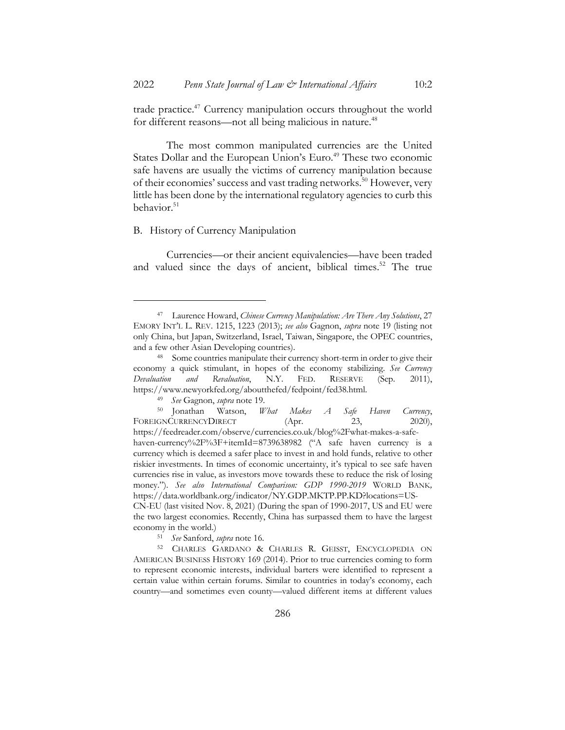trade practice.<sup>47</sup> Currency manipulation occurs throughout the world for different reasons—not all being malicious in nature.<sup>48</sup>

The most common manipulated currencies are the United States Dollar and the European Union's Euro.<sup>49</sup> These two economic safe havens are usually the victims of currency manipulation because of their economies' success and vast trading networks.<sup>50</sup> However, very little has been done by the international regulatory agencies to curb this behavior.<sup>51</sup>

#### B. History of Currency Manipulation

Currencies—or their ancient equivalencies—have been traded and valued since the days of ancient, biblical times.<sup>52</sup> The true

economy in the world.) <sup>51</sup> *See* Sanford, *supra* note 16.

<sup>52</sup> CHARLES GARDANO & CHARLES R. GEISST, ENCYCLOPEDIA ON AMERICAN BUSINESS HISTORY 169 (2014). Prior to true currencies coming to form to represent economic interests, individual barters were identified to represent a certain value within certain forums. Similar to countries in today's economy, each

country—and sometimes even county—valued different items at different values

<sup>47</sup> Laurence Howard, *Chinese Currency Manipulation: Are There Any Solutions*, 27 EMORY INT'L L. REV. 1215, 1223 (2013); *see also* Gagnon, *supra* note 19 (listing not only China, but Japan, Switzerland, Israel, Taiwan, Singapore, the OPEC countries, and a few other Asian Developing countries).

<sup>48</sup> Some countries manipulate their currency short-term in order to give their economy a quick stimulant, in hopes of the economy stabilizing. *See Currency Devaluation and Revaluation*, N.Y. FED. RESERVE (Sep. 2011), https://www.newyorkfed.org/aboutthefed/fedpoint/fed38.html.

<sup>49</sup> *See* Gagnon, *supra* note 19.

<sup>50</sup> Jonathan Watson, *What Makes A Safe Haven Currency*, FOREIGNCURRENCYDIRECT (Apr. 23, 2020), https://feedreader.com/observe/currencies.co.uk/blog%2Fwhat-makes-a-safehaven-currency%2F%3F+itemId=8739638982 ("A safe haven currency is a currency which is deemed a safer place to invest in and hold funds, relative to other riskier investments. In times of economic uncertainty, it's typical to see safe haven currencies rise in value, as investors move towards these to reduce the risk of losing money."). *See also International Comparison: GDP 1990-2019* WORLD BANK*,* https://data.worldbank.org/indicator/NY.GDP.MKTP.PP.KD?locations=US-CN-EU (last visited Nov. 8, 2021) (During the span of 1990-2017, US and EU were the two largest economies. Recently, China has surpassed them to have the largest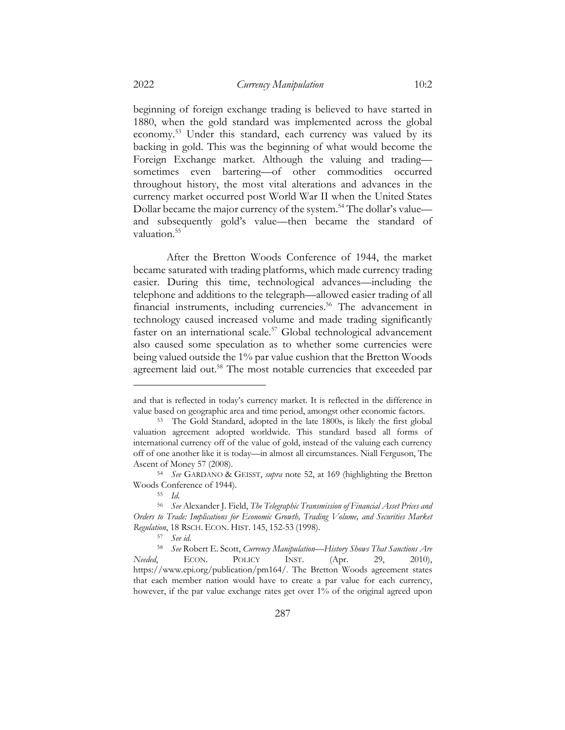beginning of foreign exchange trading is believed to have started in 1880, when the gold standard was implemented across the global economy.53 Under this standard, each currency was valued by its backing in gold. This was the beginning of what would become the Foreign Exchange market. Although the valuing and trading sometimes even bartering—of other commodities occurred throughout history, the most vital alterations and advances in the currency market occurred post World War II when the United States Dollar became the major currency of the system.<sup>54</sup> The dollar's value and subsequently gold's value—then became the standard of valuation.<sup>55</sup>

After the Bretton Woods Conference of 1944, the market became saturated with trading platforms, which made currency trading easier. During this time, technological advances—including the telephone and additions to the telegraph—allowed easier trading of all financial instruments, including currencies.<sup>56</sup> The advancement in technology caused increased volume and made trading significantly faster on an international scale.<sup>57</sup> Global technological advancement also caused some speculation as to whether some currencies were being valued outside the 1% par value cushion that the Bretton Woods agreement laid out.<sup>58</sup> The most notable currencies that exceeded par

and that is reflected in today's currency market. It is reflected in the difference in value based on geographic area and time period, amongst other economic factors.

<sup>53</sup> The Gold Standard, adopted in the late 1800s, is likely the first global valuation agreement adopted worldwide. This standard based all forms of international currency off of the value of gold, instead of the valuing each currency off of one another like it is today—in almost all circumstances. Niall Ferguson, The Ascent of Money 57 (2008).

<sup>54</sup> *See* GARDANO & GEISST, *supra* note 52, at 169 (highlighting the Bretton Woods Conference of 1944).

<sup>55</sup> *Id.*

<sup>56</sup> *See* Alexander J. Field, *The Telegraphic Transmission of Financial Asset Prices and Orders to Trade: Implications for Economic Growth, Trading Volume, and Securities Market Regulation*, 18 RSCH. ECON. HIST. 145, 152-53 (1998).

<sup>57</sup> *See id*.

<sup>58</sup> *See* Robert E. Scott, *Currency Manipulation—History Shows That Sanctions Are Needed*, ECON. POLICY INST. (Apr. 29, 2010), https://www.epi.org/publication/pm164/. The Bretton Woods agreement states that each member nation would have to create a par value for each currency, however, if the par value exchange rates get over 1% of the original agreed upon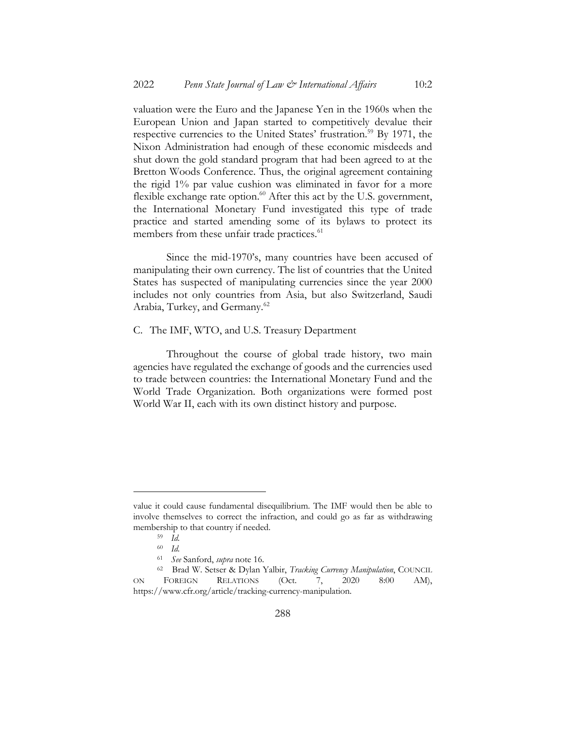valuation were the Euro and the Japanese Yen in the 1960s when the European Union and Japan started to competitively devalue their respective currencies to the United States' frustration.<sup>59</sup> By 1971, the Nixon Administration had enough of these economic misdeeds and shut down the gold standard program that had been agreed to at the Bretton Woods Conference. Thus, the original agreement containing the rigid 1% par value cushion was eliminated in favor for a more flexible exchange rate option.<sup>60</sup> After this act by the U.S. government, the International Monetary Fund investigated this type of trade practice and started amending some of its bylaws to protect its members from these unfair trade practices.<sup>61</sup>

Since the mid-1970's, many countries have been accused of manipulating their own currency. The list of countries that the United States has suspected of manipulating currencies since the year 2000 includes not only countries from Asia, but also Switzerland, Saudi Arabia, Turkey, and Germany.<sup>62</sup>

#### C. The IMF, WTO, and U.S. Treasury Department

Throughout the course of global trade history, two main agencies have regulated the exchange of goods and the currencies used to trade between countries: the International Monetary Fund and the World Trade Organization. Both organizations were formed post World War II, each with its own distinct history and purpose.

value it could cause fundamental disequilibrium. The IMF would then be able to involve themselves to correct the infraction, and could go as far as withdrawing membership to that country if needed.

<sup>59</sup> *Id.*

<sup>60</sup> *Id.*

<sup>61</sup> *See* Sanford, *supra* note 16.

<sup>62</sup> Brad W. Setser & Dylan Yalbir, *Tracking Currency Manipulation*, COUNCIL ON FOREIGN RELATIONS (Oct. 7, 2020 8:00 AM), https://www.cfr.org/article/tracking-currency-manipulation.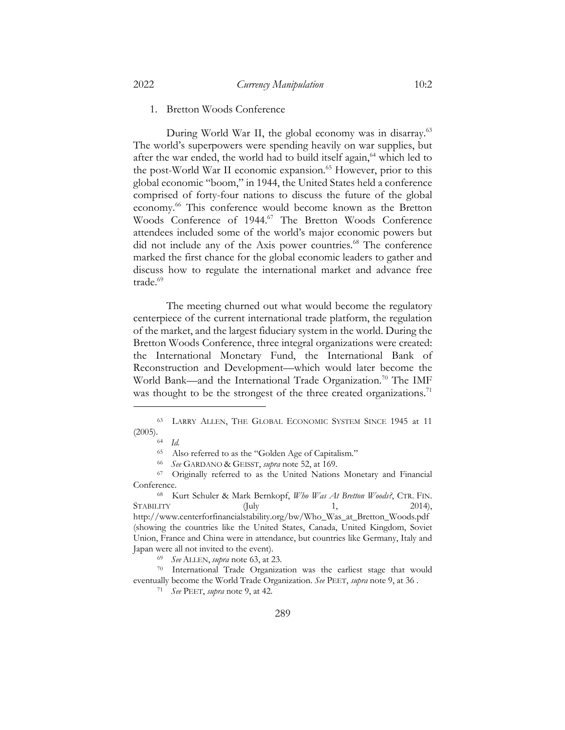#### 1. Bretton Woods Conference

During World War II, the global economy was in disarray.<sup>63</sup> The world's superpowers were spending heavily on war supplies, but after the war ended, the world had to build itself again,<sup>64</sup> which led to the post-World War II economic expansion.<sup>65</sup> However, prior to this global economic "boom," in 1944, the United States held a conference comprised of forty-four nations to discuss the future of the global economy. <sup>66</sup> This conference would become known as the Bretton Woods Conference of 1944.<sup>67</sup> The Bretton Woods Conference attendees included some of the world's major economic powers but did not include any of the Axis power countries.<sup>68</sup> The conference marked the first chance for the global economic leaders to gather and discuss how to regulate the international market and advance free trade.<sup>69</sup>

The meeting churned out what would become the regulatory centerpiece of the current international trade platform, the regulation of the market, and the largest fiduciary system in the world. During the Bretton Woods Conference, three integral organizations were created: the International Monetary Fund, the International Bank of Reconstruction and Development—which would later become the World Bank—and the International Trade Organization.<sup>70</sup> The IMF was thought to be the strongest of the three created organizations.<sup>71</sup>

<sup>66</sup> *See* GARDANO & GEISST, *supra* note 52, at 169.

<sup>68</sup> Kurt Schuler & Mark Bernkopf, *Who Was At Bretton Woods?*, CTR. FIN.  $STABLLITY$  (July 1, 2014), http://www.centerforfinancialstability.org/bw/Who\_Was\_at\_Bretton\_Woods.pdf (showing the countries like the United States, Canada, United Kingdom, Soviet Union, France and China were in attendance, but countries like Germany, Italy and Japan were all not invited to the event).

<sup>69</sup> *See* ALLEN, *supra* note 63, at 23.

<sup>70</sup> International Trade Organization was the earliest stage that would eventually become the World Trade Organization. *See* PEET, *supra* note 9, at 36 .

<sup>71</sup> *See* PEET, *supra* note 9, at 42.

<sup>63</sup> LARRY ALLEN, THE GLOBAL ECONOMIC SYSTEM SINCE 1945 at 11  $(2005).$ <sup>64</sup> *Id.* 

<sup>65</sup> Also referred to as the "Golden Age of Capitalism."

<sup>&</sup>lt;sup>67</sup> Originally referred to as the United Nations Monetary and Financial Conference.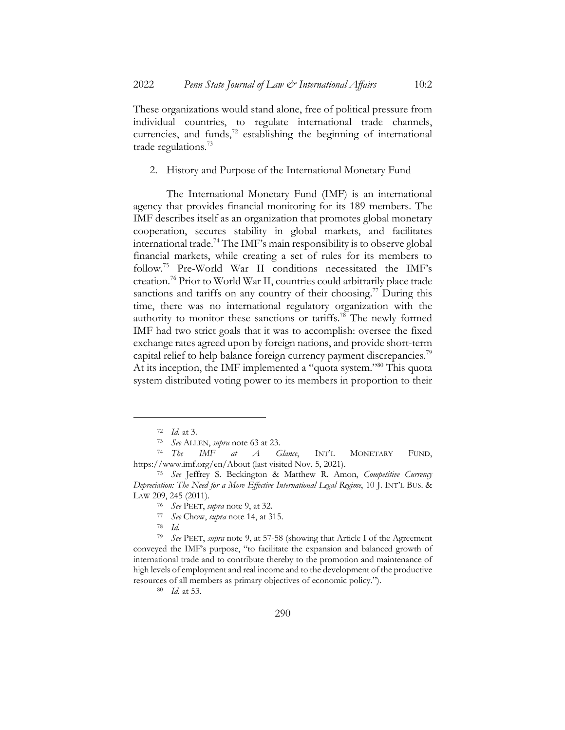These organizations would stand alone, free of political pressure from individual countries, to regulate international trade channels, currencies, and funds, $72$  establishing the beginning of international trade regulations.<sup>73</sup>

2. History and Purpose of the International Monetary Fund

The International Monetary Fund (IMF) is an international agency that provides financial monitoring for its 189 members. The IMF describes itself as an organization that promotes global monetary cooperation, secures stability in global markets, and facilitates international trade.74 The IMF's main responsibility is to observe global financial markets, while creating a set of rules for its members to follow.75 Pre-World War II conditions necessitated the IMF's creation.76 Prior to World War II, countries could arbitrarily place trade sanctions and tariffs on any country of their choosing.<sup>77</sup> During this time, there was no international regulatory organization with the authority to monitor these sanctions or tariffs.<sup>78</sup> The newly formed IMF had two strict goals that it was to accomplish: oversee the fixed exchange rates agreed upon by foreign nations, and provide short-term capital relief to help balance foreign currency payment discrepancies.<sup>79</sup> At its inception, the IMF implemented a "quota system."<sup>80</sup> This quota system distributed voting power to its members in proportion to their

<sup>79</sup> *See* PEET, *supra* note 9, at 57-58 (showing that Article I of the Agreement conveyed the IMF's purpose, "to facilitate the expansion and balanced growth of international trade and to contribute thereby to the promotion and maintenance of high levels of employment and real income and to the development of the productive resources of all members as primary objectives of economic policy.").

<sup>80</sup> *Id.* at 53.

<sup>72</sup> *Id.* at 3.

<sup>73</sup> *See* ALLEN, *supra* note 63 at 23.

<sup>74</sup> *The IMF at A Glance*, INT'L MONETARY FUND, https://www.imf.org/en/About (last visited Nov. 5, 2021).

<sup>75</sup> *See* Jeffrey S. Beckington & Matthew R. Amon, *Competitive Currency Depreciation: The Need for a More Effective International Legal Regime*, 10 J. INT'L BUS. & LAW 209, 245 (2011).

<sup>76</sup> *See* PEET, *supra* note 9, at 32.

<sup>77</sup> *See* Chow, *supra* note 14, at 315.

<sup>78</sup> *Id.*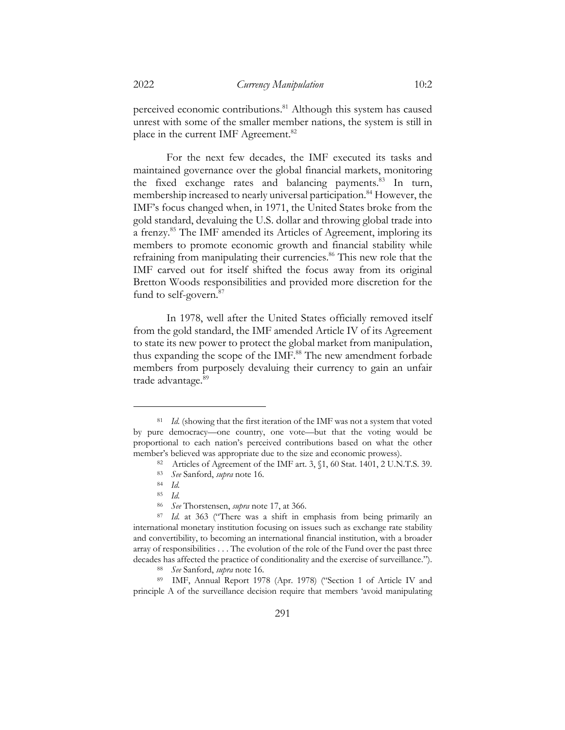perceived economic contributions.<sup>81</sup> Although this system has caused unrest with some of the smaller member nations, the system is still in place in the current IMF Agreement.<sup>82</sup>

For the next few decades, the IMF executed its tasks and maintained governance over the global financial markets, monitoring the fixed exchange rates and balancing payments.<sup>83</sup> In turn, membership increased to nearly universal participation.<sup>84</sup> However, the IMF's focus changed when, in 1971, the United States broke from the gold standard, devaluing the U.S. dollar and throwing global trade into a frenzy.<sup>85</sup> The IMF amended its Articles of Agreement, imploring its members to promote economic growth and financial stability while refraining from manipulating their currencies.<sup>86</sup> This new role that the IMF carved out for itself shifted the focus away from its original Bretton Woods responsibilities and provided more discretion for the fund to self-govern.<sup>87</sup>

In 1978, well after the United States officially removed itself from the gold standard, the IMF amended Article IV of its Agreement to state its new power to protect the global market from manipulation, thus expanding the scope of the IMF.<sup>88</sup> The new amendment forbade members from purposely devaluing their currency to gain an unfair trade advantage.<sup>89</sup>

<sup>&</sup>lt;sup>81</sup> *Id.* (showing that the first iteration of the IMF was not a system that voted by pure democracy—one country, one vote—but that the voting would be proportional to each nation's perceived contributions based on what the other member's believed was appropriate due to the size and economic prowess).

<sup>82</sup> Articles of Agreement of the IMF art. 3, §1, 60 Stat. 1401, 2 U.N.T.S. 39.

<sup>83</sup> *See* Sanford, *supra* note 16.

<sup>84</sup> *Id.*

<sup>85</sup> *Id.*

<sup>86</sup> *See* Thorstensen, *supra* note 17, at 366.

<sup>&</sup>lt;sup>87</sup> *Id.* at 363 ("There was a shift in emphasis from being primarily an international monetary institution focusing on issues such as exchange rate stability and convertibility, to becoming an international financial institution, with a broader array of responsibilities . . . The evolution of the role of the Fund over the past three decades has affected the practice of conditionality and the exercise of surveillance.").

<sup>88</sup> *See* Sanford, *supra* note 16.

<sup>89</sup> IMF, Annual Report 1978 (Apr. 1978) ("Section 1 of Article IV and principle A of the surveillance decision require that members 'avoid manipulating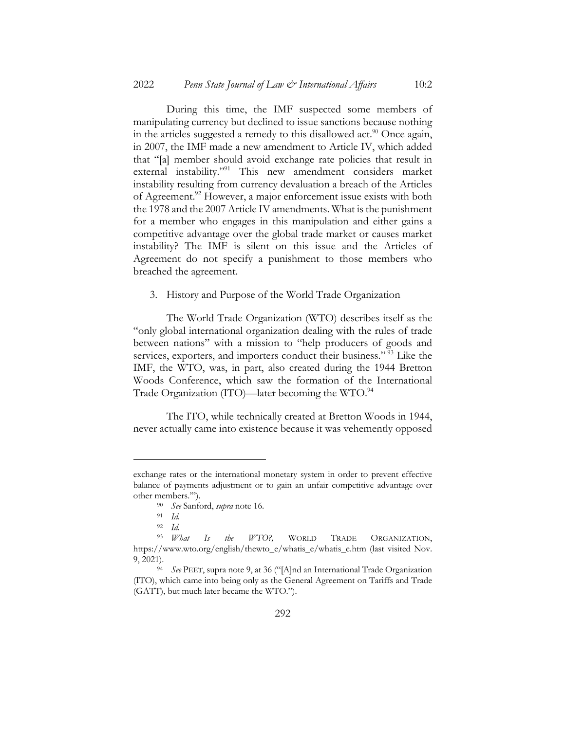During this time, the IMF suspected some members of manipulating currency but declined to issue sanctions because nothing in the articles suggested a remedy to this disallowed act.<sup>90</sup> Once again, in 2007, the IMF made a new amendment to Article IV, which added that "[a] member should avoid exchange rate policies that result in external instability."91 This new amendment considers market instability resulting from currency devaluation a breach of the Articles of Agreement.<sup>92</sup> However, a major enforcement issue exists with both the 1978 and the 2007 Article IV amendments. What is the punishment for a member who engages in this manipulation and either gains a competitive advantage over the global trade market or causes market instability? The IMF is silent on this issue and the Articles of Agreement do not specify a punishment to those members who breached the agreement.

3. History and Purpose of the World Trade Organization

The World Trade Organization (WTO) describes itself as the "only global international organization dealing with the rules of trade between nations" with a mission to "help producers of goods and services, exporters, and importers conduct their business."<sup>93</sup> Like the IMF, the WTO, was, in part, also created during the 1944 Bretton Woods Conference, which saw the formation of the International Trade Organization (ITO)—later becoming the WTO.<sup>94</sup>

The ITO, while technically created at Bretton Woods in 1944, never actually came into existence because it was vehemently opposed

exchange rates or the international monetary system in order to prevent effective balance of payments adjustment or to gain an unfair competitive advantage over other members.'").

<sup>90</sup> *See* Sanford, *supra* note 16.

<sup>91</sup> *Id.*

<sup>92</sup> *Id.* <sup>93</sup> *What Is the WTO?,* WORLD TRADE ORGANIZATION, https://www.wto.org/english/thewto\_e/whatis\_e/whatis\_e.htm (last visited Nov. 9, 2021).

<sup>94</sup> *See* PEET, supra note 9, at 36 ("[A]nd an International Trade Organization (ITO), which came into being only as the General Agreement on Tariffs and Trade (GATT), but much later became the WTO.").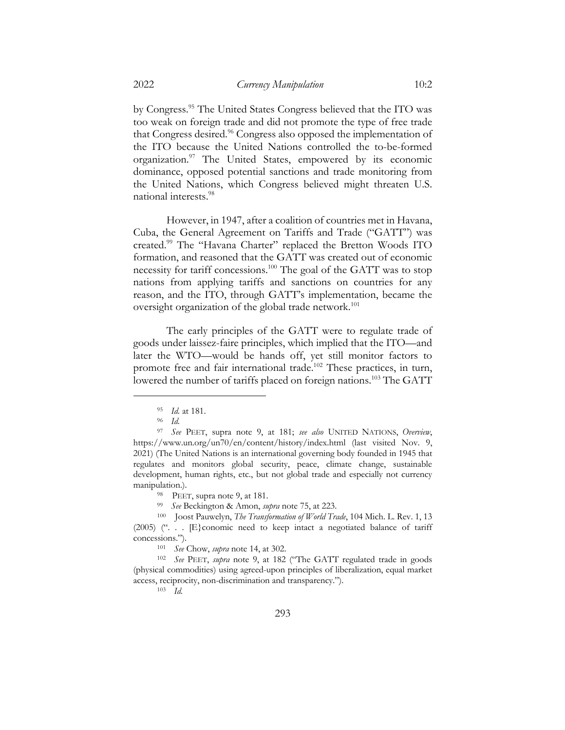by Congress.95 The United States Congress believed that the ITO was too weak on foreign trade and did not promote the type of free trade that Congress desired.<sup>96</sup> Congress also opposed the implementation of the ITO because the United Nations controlled the to-be-formed organization.97 The United States, empowered by its economic dominance, opposed potential sanctions and trade monitoring from the United Nations, which Congress believed might threaten U.S. national interests.98

However, in 1947, after a coalition of countries met in Havana, Cuba, the General Agreement on Tariffs and Trade ("GATT") was created.99 The "Havana Charter" replaced the Bretton Woods ITO formation, and reasoned that the GATT was created out of economic necessity for tariff concessions.100 The goal of the GATT was to stop nations from applying tariffs and sanctions on countries for any reason, and the ITO, through GATT's implementation, became the oversight organization of the global trade network.<sup>101</sup>

The early principles of the GATT were to regulate trade of goods under laissez-faire principles, which implied that the ITO—and later the WTO—would be hands off, yet still monitor factors to promote free and fair international trade.<sup>102</sup> These practices, in turn, lowered the number of tariffs placed on foreign nations.<sup>103</sup> The GATT

<sup>99</sup> *See* Beckington & Amon, *supra* note 75, at 223.

<sup>100</sup> Joost Pauwelyn, *The Transformation of World Trade*, 104 Mich. L. Rev. 1, 13 (2005) (". . . [E}conomic need to keep intact a negotiated balance of tariff concessions.").

<sup>101</sup> *See* Chow, *supra* note 14, at 302.

<sup>102</sup> *See* PEET, *supra* note 9, at 182 ("The GATT regulated trade in goods (physical commodities) using agreed-upon principles of liberalization, equal market access, reciprocity, non-discrimination and transparency.").

<sup>103</sup> *Id.*

<sup>95</sup> *Id.* at 181.

<sup>96</sup> *Id.*

<sup>97</sup> *See* PEET, supra note 9, at 181; *see also* UNITED NATIONS, *Overview*, https://www.un.org/un70/en/content/history/index.html (last visited Nov. 9, 2021) (The United Nations is an international governing body founded in 1945 that regulates and monitors global security, peace, climate change, sustainable development, human rights, etc., but not global trade and especially not currency manipulation.).

<sup>98</sup> PEET, supra note 9, at 181.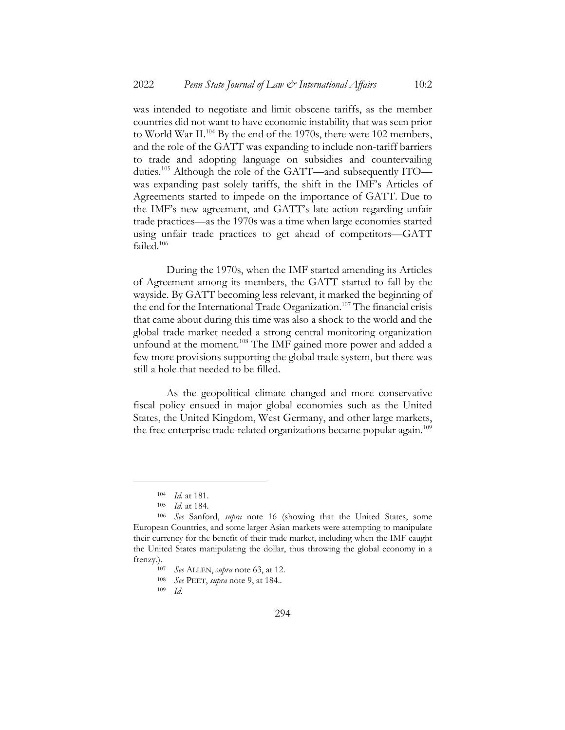was intended to negotiate and limit obscene tariffs, as the member countries did not want to have economic instability that was seen prior to World War II.<sup>104</sup> By the end of the 1970s, there were 102 members, and the role of the GATT was expanding to include non-tariff barriers to trade and adopting language on subsidies and countervailing duties.<sup>105</sup> Although the role of the GATT—and subsequently ITO was expanding past solely tariffs, the shift in the IMF's Articles of Agreements started to impede on the importance of GATT. Due to the IMF's new agreement, and GATT's late action regarding unfair trade practices—as the 1970s was a time when large economies started using unfair trade practices to get ahead of competitors—GATT failed.106

During the 1970s, when the IMF started amending its Articles of Agreement among its members, the GATT started to fall by the wayside. By GATT becoming less relevant, it marked the beginning of the end for the International Trade Organization.<sup>107</sup> The financial crisis that came about during this time was also a shock to the world and the global trade market needed a strong central monitoring organization unfound at the moment.<sup>108</sup> The IMF gained more power and added a few more provisions supporting the global trade system, but there was still a hole that needed to be filled.

As the geopolitical climate changed and more conservative fiscal policy ensued in major global economies such as the United States, the United Kingdom, West Germany, and other large markets, the free enterprise trade-related organizations became popular again.<sup>109</sup>

<sup>104</sup> *Id.* at 181.

<sup>105</sup> *Id.* at 184.

<sup>106</sup> *See* Sanford, *supra* note 16 (showing that the United States, some European Countries, and some larger Asian markets were attempting to manipulate their currency for the benefit of their trade market, including when the IMF caught the United States manipulating the dollar, thus throwing the global economy in a frenzy.).

<sup>107</sup> *See* ALLEN, *supra* note 63, at 12.

<sup>108</sup> *See* PEET, *supra* note 9, at 184..

<sup>109</sup> *Id.*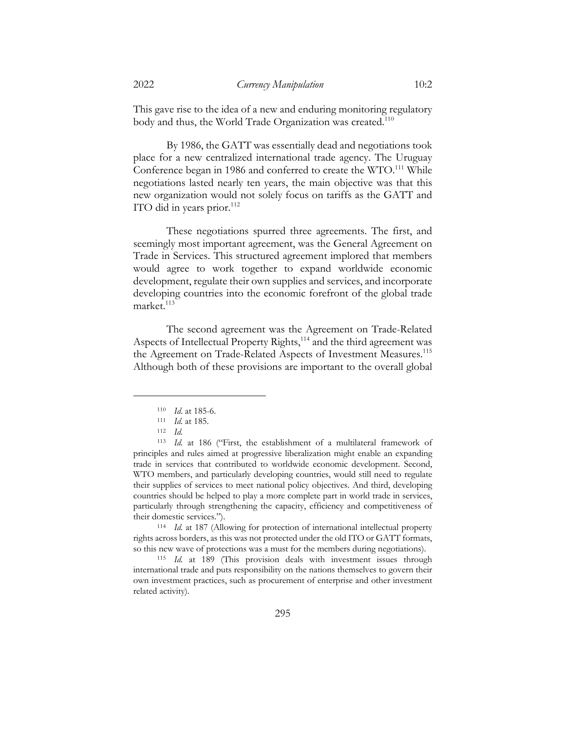This gave rise to the idea of a new and enduring monitoring regulatory body and thus, the World Trade Organization was created.<sup>110</sup>

By 1986, the GATT was essentially dead and negotiations took place for a new centralized international trade agency. The Uruguay Conference began in 1986 and conferred to create the WTO.<sup>111</sup> While negotiations lasted nearly ten years, the main objective was that this new organization would not solely focus on tariffs as the GATT and ITO did in years prior. $112$ 

These negotiations spurred three agreements. The first, and seemingly most important agreement, was the General Agreement on Trade in Services. This structured agreement implored that members would agree to work together to expand worldwide economic development, regulate their own supplies and services, and incorporate developing countries into the economic forefront of the global trade  $market.<sup>113</sup>$ 

The second agreement was the Agreement on Trade-Related Aspects of Intellectual Property Rights,<sup>114</sup> and the third agreement was the Agreement on Trade-Related Aspects of Investment Measures.<sup>115</sup> Although both of these provisions are important to the overall global

<sup>114</sup> *Id.* at 187 (Allowing for protection of international intellectual property rights across borders, as this was not protected under the old ITO or GATT formats, so this new wave of protections was a must for the members during negotiations).

<sup>115</sup> *Id.* at 189 (This provision deals with investment issues through international trade and puts responsibility on the nations themselves to govern their own investment practices, such as procurement of enterprise and other investment related activity).

<sup>110</sup> *Id*. at 185-6.

<sup>111</sup> *Id*. at 185.

<sup>112</sup> *Id.*

<sup>113</sup> *Id.* at 186 ("First, the establishment of a multilateral framework of principles and rules aimed at progressive liberalization might enable an expanding trade in services that contributed to worldwide economic development. Second, WTO members, and particularly developing countries, would still need to regulate their supplies of services to meet national policy objectives. And third, developing countries should be helped to play a more complete part in world trade in services, particularly through strengthening the capacity, efficiency and competitiveness of their domestic services.").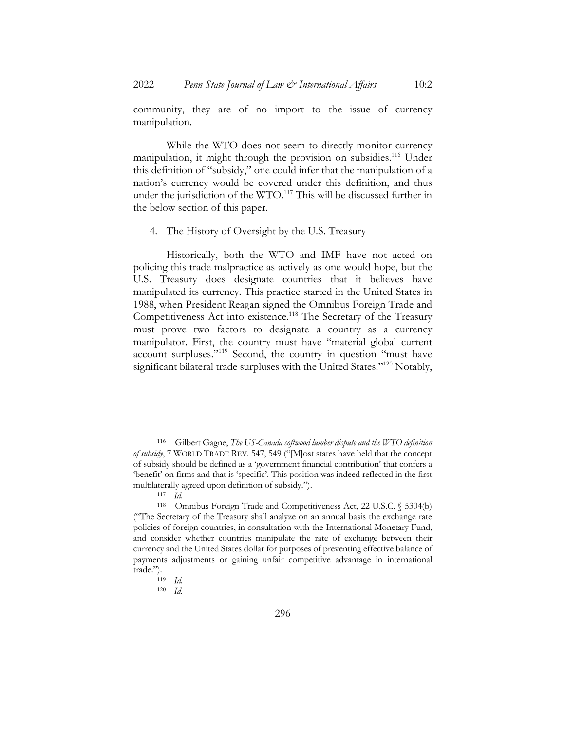community, they are of no import to the issue of currency manipulation.

While the WTO does not seem to directly monitor currency manipulation, it might through the provision on subsidies.<sup>116</sup> Under this definition of "subsidy," one could infer that the manipulation of a nation's currency would be covered under this definition, and thus under the jurisdiction of the WTO.<sup>117</sup> This will be discussed further in the below section of this paper.

#### 4. The History of Oversight by the U.S. Treasury

Historically, both the WTO and IMF have not acted on policing this trade malpractice as actively as one would hope, but the U.S. Treasury does designate countries that it believes have manipulated its currency. This practice started in the United States in 1988, when President Reagan signed the Omnibus Foreign Trade and Competitiveness Act into existence.<sup>118</sup> The Secretary of the Treasury must prove two factors to designate a country as a currency manipulator. First, the country must have "material global current account surpluses."119 Second, the country in question "must have significant bilateral trade surpluses with the United States."<sup>120</sup> Notably,

<sup>116</sup> Gilbert Gagne, *The US-Canada softwood lumber dispute and the WTO definition of subsidy*, 7 WORLD TRADE REV. 547, 549 ("[M]ost states have held that the concept of subsidy should be defined as a 'government financial contribution' that confers a 'benefit' on firms and that is 'specific'. This position was indeed reflected in the first multilaterally agreed upon definition of subsidy.").

<sup>117</sup> *Id*.

<sup>118</sup> Omnibus Foreign Trade and Competitiveness Act, 22 U.S.C. § 5304(b) ("The Secretary of the Treasury shall analyze on an annual basis the exchange rate policies of foreign countries, in consultation with the International Monetary Fund, and consider whether countries manipulate the rate of exchange between their currency and the United States dollar for purposes of preventing effective balance of payments adjustments or gaining unfair competitive advantage in international trade.").

<sup>119</sup> *Id.*

<sup>120</sup> *Id.*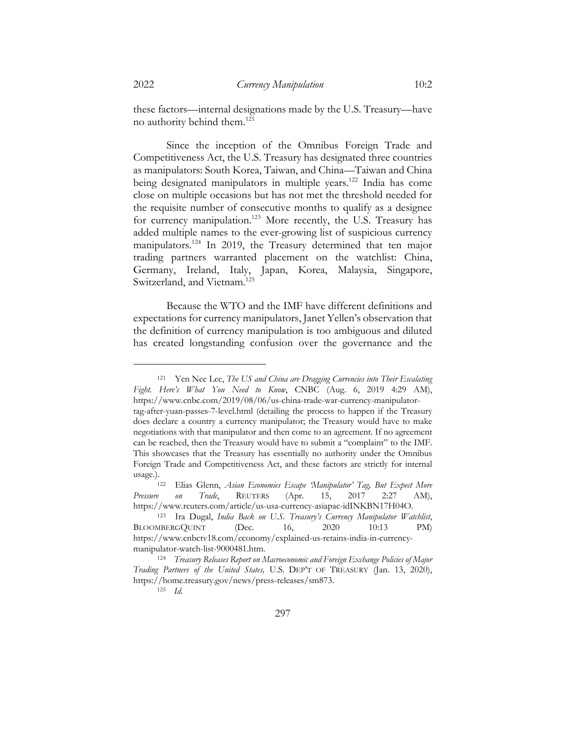these factors—internal designations made by the U.S. Treasury—have no authority behind them.121

Since the inception of the Omnibus Foreign Trade and Competitiveness Act, the U.S. Treasury has designated three countries as manipulators: South Korea, Taiwan, and China—Taiwan and China being designated manipulators in multiple years.<sup>122</sup> India has come close on multiple occasions but has not met the threshold needed for the requisite number of consecutive months to qualify as a designee for currency manipulation.<sup>123</sup> More recently, the U.S. Treasury has added multiple names to the ever-growing list of suspicious currency manipulators.<sup>124</sup> In 2019, the Treasury determined that ten major trading partners warranted placement on the watchlist: China, Germany, Ireland, Italy, Japan, Korea, Malaysia, Singapore, Switzerland, and Vietnam.<sup>125</sup>

Because the WTO and the IMF have different definitions and expectations for currency manipulators, Janet Yellen's observation that the definition of currency manipulation is too ambiguous and diluted has created longstanding confusion over the governance and the

<sup>121</sup> Yen Nee Lee, *The US and China are Dragging Currencies into Their Escalating Fight. Here's What You Need to Know*, CNBC (Aug. 6, 2019 4:29 AM), https://www.cnbc.com/2019/08/06/us-china-trade-war-currency-manipulatortag-after-yuan-passes-7-level.html (detailing the process to happen if the Treasury does declare a country a currency manipulator; the Treasury would have to make negotiations with that manipulator and then come to an agreement. If no agreement can be reached, then the Treasury would have to submit a "complaint" to the IMF. This showcases that the Treasury has essentially no authority under the Omnibus Foreign Trade and Competitiveness Act, and these factors are strictly for internal

usage.).122 Elias Glenn, *Asian Economies Escape 'Manipulator' Tag, But Expect More Pressure on Trade*, REUTERS (Apr. 15, 2017 2:27 AM), https://www.reuters.com/article/us-usa-currency-asiapac-idINKBN17H04O.

<sup>123</sup> Ira Dugal, *India Back on U.S. Treasury's Currency Manipulator Watchlist*, BLOOMBERGQUINT (Dec. 16, 2020 10:13 PM) https://www.cnbctv18.com/economy/explained-us-retains-india-in-currencymanipulator-watch-list-9000481.htm.

<sup>124</sup> *Treasury Releases Report on Macroeconomic and Foreign Exchange Policies of Major Trading Partners of the United States,* U.S. DEP'T OF TREASURY (Jan. 13, 2020), https://home.treasury.gov/news/press-releases/sm873.

<sup>125</sup> *Id.*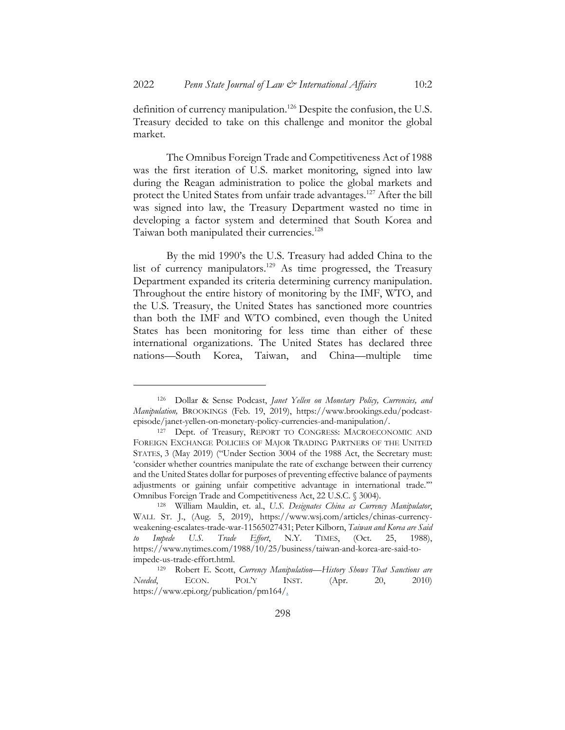definition of currency manipulation.126 Despite the confusion, the U.S. Treasury decided to take on this challenge and monitor the global market.

The Omnibus Foreign Trade and Competitiveness Act of 1988 was the first iteration of U.S. market monitoring, signed into law during the Reagan administration to police the global markets and protect the United States from unfair trade advantages.<sup>127</sup> After the bill was signed into law, the Treasury Department wasted no time in developing a factor system and determined that South Korea and Taiwan both manipulated their currencies.<sup>128</sup>

By the mid 1990's the U.S. Treasury had added China to the list of currency manipulators.129 As time progressed, the Treasury Department expanded its criteria determining currency manipulation. Throughout the entire history of monitoring by the IMF, WTO, and the U.S. Treasury, the United States has sanctioned more countries than both the IMF and WTO combined, even though the United States has been monitoring for less time than either of these international organizations. The United States has declared three nations—South Korea, Taiwan, and China—multiple time

<sup>126</sup> Dollar & Sense Podcast, *Janet Yellen on Monetary Policy, Currencies, and Manipulation,* BROOKINGS (Feb. 19, 2019), https://www.brookings.edu/podcastepisode/janet-yellen-on-monetary-policy-currencies-and-manipulation/.

<sup>127</sup> Dept. of Treasury, REPORT TO CONGRESS: MACROECONOMIC AND FOREIGN EXCHANGE POLICIES OF MAJOR TRADING PARTNERS OF THE UNITED STATES, 3 (May 2019) ("Under Section 3004 of the 1988 Act, the Secretary must: 'consider whether countries manipulate the rate of exchange between their currency and the United States dollar for purposes of preventing effective balance of payments adjustments or gaining unfair competitive advantage in international trade.'" Omnibus Foreign Trade and Competitiveness Act, 22 U.S.C. § 3004).

<sup>128</sup> William Mauldin, et. al., *U.S. Designates China as Currency Manipulator*, WALL ST. J., (Aug. 5, 2019), https://www.wsj.com/articles/chinas-currencyweakening-escalates-trade-war-11565027431; Peter Kilborn, *Taiwan and Korea are Said to Impede U.S. Trade Effort*, N.Y. TIMES, (Oct. 25, 1988), https://www.nytimes.com/1988/10/25/business/taiwan-and-korea-are-said-toimpede-us-trade-effort.html.

<sup>129</sup> Robert E. Scott, *Currency Manipulation—History Shows That Sanctions are Needed*, ECON. POL'Y INST. (Apr. 20, 2010) https://www.epi.org/publication/pm164/.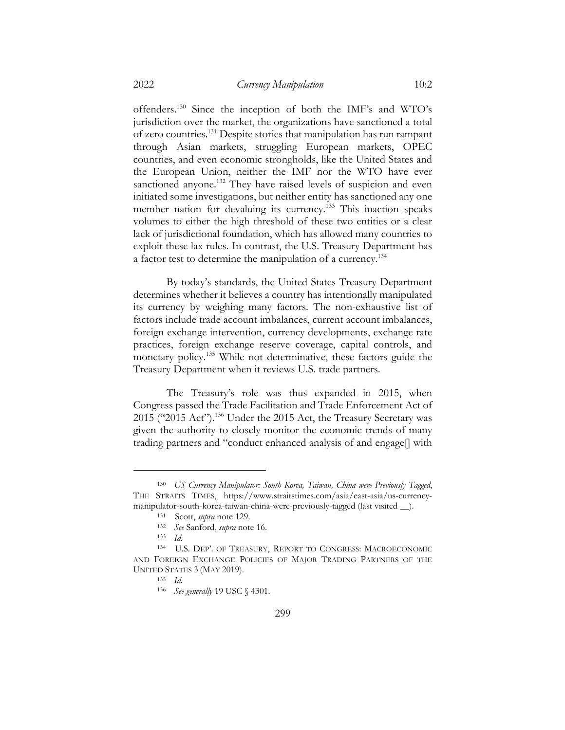offenders.130 Since the inception of both the IMF's and WTO's jurisdiction over the market, the organizations have sanctioned a total of zero countries.131 Despite stories that manipulation has run rampant through Asian markets, struggling European markets, OPEC countries, and even economic strongholds, like the United States and the European Union, neither the IMF nor the WTO have ever sanctioned anyone.<sup>132</sup> They have raised levels of suspicion and even initiated some investigations, but neither entity has sanctioned any one member nation for devaluing its currency.<sup>133</sup> This inaction speaks volumes to either the high threshold of these two entities or a clear lack of jurisdictional foundation, which has allowed many countries to exploit these lax rules. In contrast, the U.S. Treasury Department has a factor test to determine the manipulation of a currency.134

By today's standards, the United States Treasury Department determines whether it believes a country has intentionally manipulated its currency by weighing many factors. The non-exhaustive list of factors include trade account imbalances, current account imbalances, foreign exchange intervention, currency developments, exchange rate practices, foreign exchange reserve coverage, capital controls, and monetary policy.135 While not determinative, these factors guide the Treasury Department when it reviews U.S. trade partners.

The Treasury's role was thus expanded in 2015, when Congress passed the Trade Facilitation and Trade Enforcement Act of 2015 ("2015 Act").136 Under the 2015 Act, the Treasury Secretary was given the authority to closely monitor the economic trends of many trading partners and "conduct enhanced analysis of and engage[] with

<sup>130</sup> *US Currency Manipulator: South Korea, Taiwan, China were Previously Tagged*, THE STRAITS TIMES, https://www.straitstimes.com/asia/east-asia/us-currencymanipulator-south-korea-taiwan-china-were-previously-tagged (last visited \_\_).

<sup>131</sup> Scott, *supra* note 129.

<sup>132</sup> *See* Sanford, *supra* note 16.

<sup>133</sup> *Id.*

<sup>134</sup> U.S. DEP'. OF TREASURY, REPORT TO CONGRESS: MACROECONOMIC AND FOREIGN EXCHANGE POLICIES OF MAJOR TRADING PARTNERS OF THE UNITED STATES 3 (MAY 2019).

<sup>135</sup> *Id.*

<sup>136</sup> *See generally* 19 USC § 4301.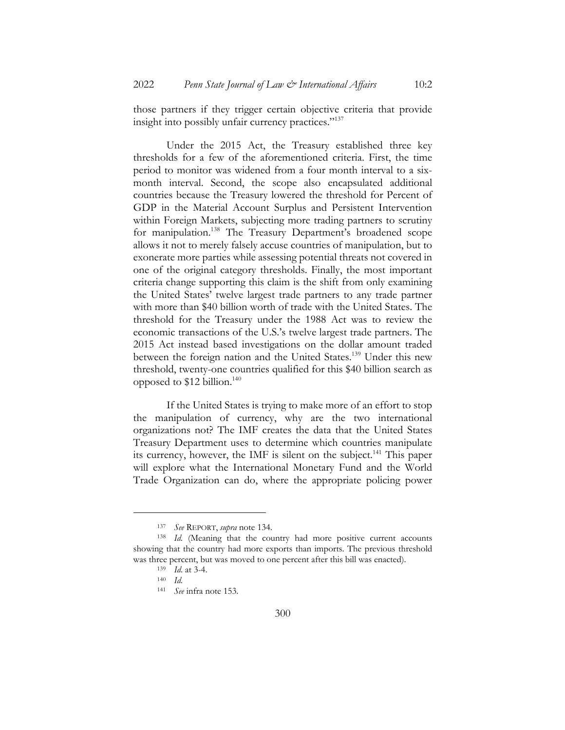those partners if they trigger certain objective criteria that provide insight into possibly unfair currency practices."137

Under the 2015 Act, the Treasury established three key thresholds for a few of the aforementioned criteria. First, the time period to monitor was widened from a four month interval to a sixmonth interval. Second, the scope also encapsulated additional countries because the Treasury lowered the threshold for Percent of GDP in the Material Account Surplus and Persistent Intervention within Foreign Markets, subjecting more trading partners to scrutiny for manipulation.<sup>138</sup> The Treasury Department's broadened scope allows it not to merely falsely accuse countries of manipulation, but to exonerate more parties while assessing potential threats not covered in one of the original category thresholds. Finally, the most important criteria change supporting this claim is the shift from only examining the United States' twelve largest trade partners to any trade partner with more than \$40 billion worth of trade with the United States. The threshold for the Treasury under the 1988 Act was to review the economic transactions of the U.S.'s twelve largest trade partners. The 2015 Act instead based investigations on the dollar amount traded between the foreign nation and the United States.<sup>139</sup> Under this new threshold, twenty-one countries qualified for this \$40 billion search as opposed to  $$12$  billion.<sup>140</sup>

If the United States is trying to make more of an effort to stop the manipulation of currency, why are the two international organizations not? The IMF creates the data that the United States Treasury Department uses to determine which countries manipulate its currency, however, the IMF is silent on the subject.<sup>141</sup> This paper will explore what the International Monetary Fund and the World Trade Organization can do, where the appropriate policing power

<sup>137</sup> *See* REPORT, *supra* note 134.

<sup>138</sup> *Id.* (Meaning that the country had more positive current accounts showing that the country had more exports than imports. The previous threshold was three percent, but was moved to one percent after this bill was enacted).

<sup>139</sup> *Id*. at 3-4.

<sup>140</sup> *Id.*

<sup>141</sup> *See* infra note 153.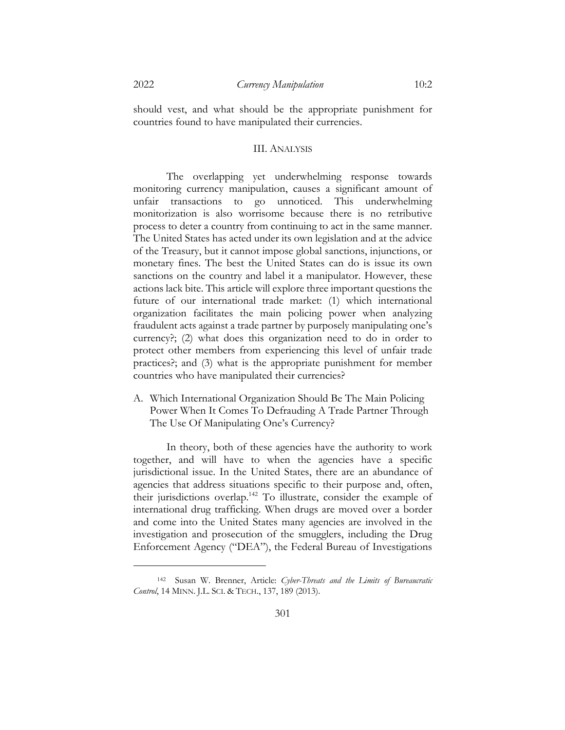should vest, and what should be the appropriate punishment for countries found to have manipulated their currencies.

#### III. ANALYSIS

The overlapping yet underwhelming response towards monitoring currency manipulation, causes a significant amount of unfair transactions to go unnoticed. This underwhelming monitorization is also worrisome because there is no retributive process to deter a country from continuing to act in the same manner. The United States has acted under its own legislation and at the advice of the Treasury, but it cannot impose global sanctions, injunctions, or monetary fines. The best the United States can do is issue its own sanctions on the country and label it a manipulator. However, these actions lack bite. This article will explore three important questions the future of our international trade market: (1) which international organization facilitates the main policing power when analyzing fraudulent acts against a trade partner by purposely manipulating one's currency?; (2) what does this organization need to do in order to protect other members from experiencing this level of unfair trade practices?; and (3) what is the appropriate punishment for member countries who have manipulated their currencies?

A. Which International Organization Should Be The Main Policing Power When It Comes To Defrauding A Trade Partner Through The Use Of Manipulating One's Currency?

In theory, both of these agencies have the authority to work together, and will have to when the agencies have a specific jurisdictional issue. In the United States, there are an abundance of agencies that address situations specific to their purpose and, often, their jurisdictions overlap.142 To illustrate, consider the example of international drug trafficking. When drugs are moved over a border and come into the United States many agencies are involved in the investigation and prosecution of the smugglers, including the Drug Enforcement Agency ("DEA"), the Federal Bureau of Investigations

<sup>142</sup> Susan W. Brenner, Article: *Cyber-Threats and the Limits of Bureaucratic Control*, 14 MINN. J.L. SCI. & TECH., 137, 189 (2013).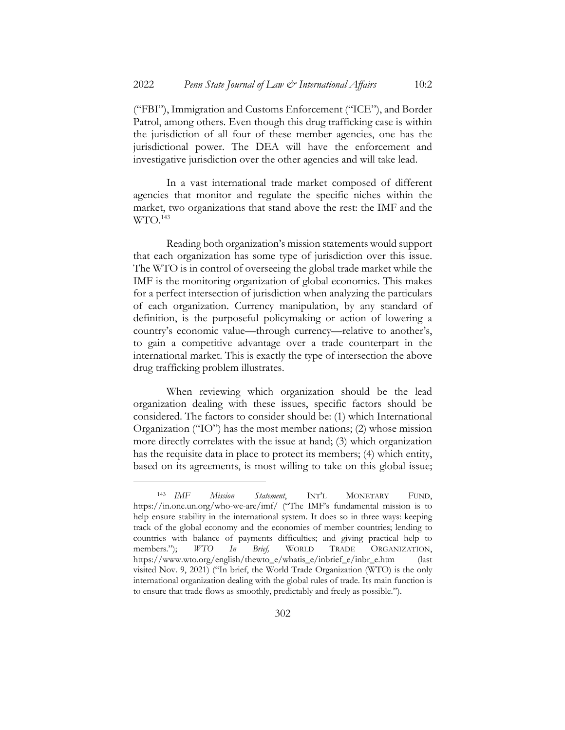("FBI"), Immigration and Customs Enforcement ("ICE"), and Border Patrol, among others. Even though this drug trafficking case is within the jurisdiction of all four of these member agencies, one has the jurisdictional power. The DEA will have the enforcement and investigative jurisdiction over the other agencies and will take lead.

In a vast international trade market composed of different agencies that monitor and regulate the specific niches within the market, two organizations that stand above the rest: the IMF and the  $WTO.<sup>143</sup>$ 

Reading both organization's mission statements would support that each organization has some type of jurisdiction over this issue. The WTO is in control of overseeing the global trade market while the IMF is the monitoring organization of global economics. This makes for a perfect intersection of jurisdiction when analyzing the particulars of each organization. Currency manipulation, by any standard of definition, is the purposeful policymaking or action of lowering a country's economic value—through currency—relative to another's, to gain a competitive advantage over a trade counterpart in the international market. This is exactly the type of intersection the above drug trafficking problem illustrates.

When reviewing which organization should be the lead organization dealing with these issues, specific factors should be considered. The factors to consider should be: (1) which International Organization ("IO") has the most member nations; (2) whose mission more directly correlates with the issue at hand; (3) which organization has the requisite data in place to protect its members; (4) which entity, based on its agreements, is most willing to take on this global issue;

<sup>143</sup> *IMF Mission Statement*, INT'L MONETARY FUND, https://in.one.un.org/who-we-are/imf/ ("The IMF's fundamental mission is to help ensure stability in the international system. It does so in three ways: keeping track of the global economy and the economies of member countries; lending to countries with balance of payments difficulties; and giving practical help to members."); *WTO In Brief,* WORLD TRADE ORGANIZATION, https://www.wto.org/english/thewto\_e/whatis\_e/inbrief\_e/inbr\_e.htm (last visited Nov. 9, 2021) ("In brief, the World Trade Organization (WTO) is the only international organization dealing with the global rules of trade. Its main function is to ensure that trade flows as smoothly, predictably and freely as possible.").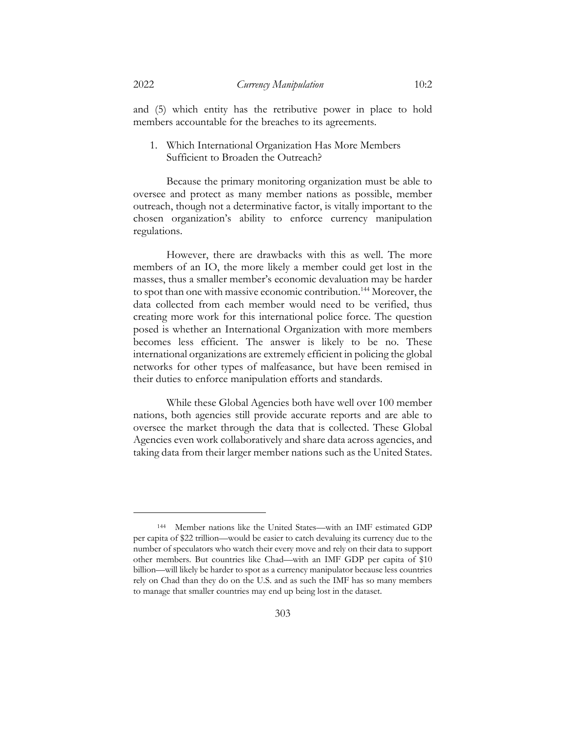and (5) which entity has the retributive power in place to hold members accountable for the breaches to its agreements.

1. Which International Organization Has More Members Sufficient to Broaden the Outreach?

Because the primary monitoring organization must be able to oversee and protect as many member nations as possible, member outreach, though not a determinative factor, is vitally important to the chosen organization's ability to enforce currency manipulation regulations.

However, there are drawbacks with this as well. The more members of an IO, the more likely a member could get lost in the masses, thus a smaller member's economic devaluation may be harder to spot than one with massive economic contribution.<sup>144</sup> Moreover, the data collected from each member would need to be verified, thus creating more work for this international police force. The question posed is whether an International Organization with more members becomes less efficient. The answer is likely to be no. These international organizations are extremely efficient in policing the global networks for other types of malfeasance, but have been remised in their duties to enforce manipulation efforts and standards.

While these Global Agencies both have well over 100 member nations, both agencies still provide accurate reports and are able to oversee the market through the data that is collected. These Global Agencies even work collaboratively and share data across agencies, and taking data from their larger member nations such as the United States.

<sup>144</sup> Member nations like the United States—with an IMF estimated GDP per capita of \$22 trillion—would be easier to catch devaluing its currency due to the number of speculators who watch their every move and rely on their data to support other members. But countries like Chad—with an IMF GDP per capita of \$10 billion—will likely be harder to spot as a currency manipulator because less countries rely on Chad than they do on the U.S. and as such the IMF has so many members to manage that smaller countries may end up being lost in the dataset.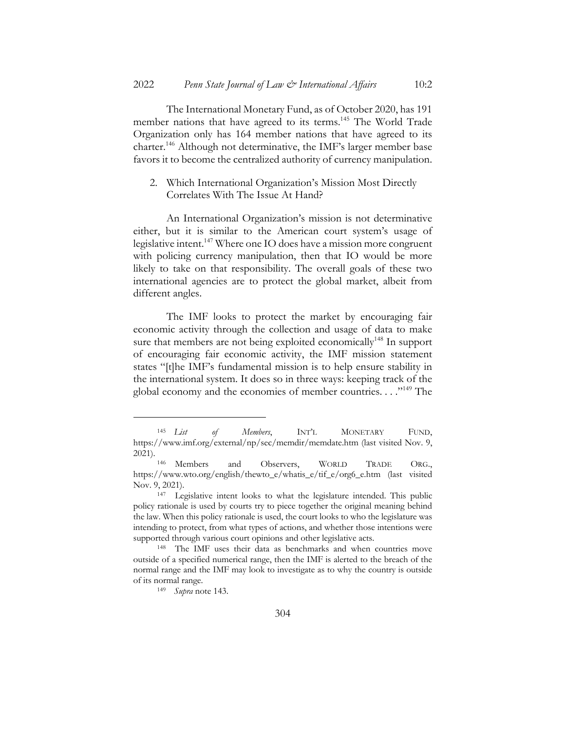The International Monetary Fund, as of October 2020, has 191 member nations that have agreed to its terms.<sup>145</sup> The World Trade Organization only has 164 member nations that have agreed to its charter.<sup>146</sup> Although not determinative, the IMF's larger member base favors it to become the centralized authority of currency manipulation.

## 2. Which International Organization's Mission Most Directly Correlates With The Issue At Hand?

An International Organization's mission is not determinative either, but it is similar to the American court system's usage of legislative intent.<sup>147</sup> Where one IO does have a mission more congruent with policing currency manipulation, then that IO would be more likely to take on that responsibility. The overall goals of these two international agencies are to protect the global market, albeit from different angles.

The IMF looks to protect the market by encouraging fair economic activity through the collection and usage of data to make sure that members are not being exploited economically<sup>148</sup> In support of encouraging fair economic activity, the IMF mission statement states "[t]he IMF's fundamental mission is to help ensure stability in the international system. It does so in three ways: keeping track of the global economy and the economies of member countries. . . . "<sup>149</sup> The

<sup>145</sup> *List of Members*, INT'L MONETARY FUND, https://www.imf.org/external/np/sec/memdir/memdate.htm (last visited Nov. 9, 2021).

<sup>146</sup> Members and Observers, WORLD TRADE ORG., https://www.wto.org/english/thewto\_e/whatis\_e/tif\_e/org6\_e.htm (last visited Nov. 9, 2021).

<sup>147</sup> Legislative intent looks to what the legislature intended. This public policy rationale is used by courts try to piece together the original meaning behind the law. When this policy rationale is used, the court looks to who the legislature was intending to protect, from what types of actions, and whether those intentions were supported through various court opinions and other legislative acts.

<sup>148</sup> The IMF uses their data as benchmarks and when countries move outside of a specified numerical range, then the IMF is alerted to the breach of the normal range and the IMF may look to investigate as to why the country is outside of its normal range.

<sup>149</sup> *Supra* note 143.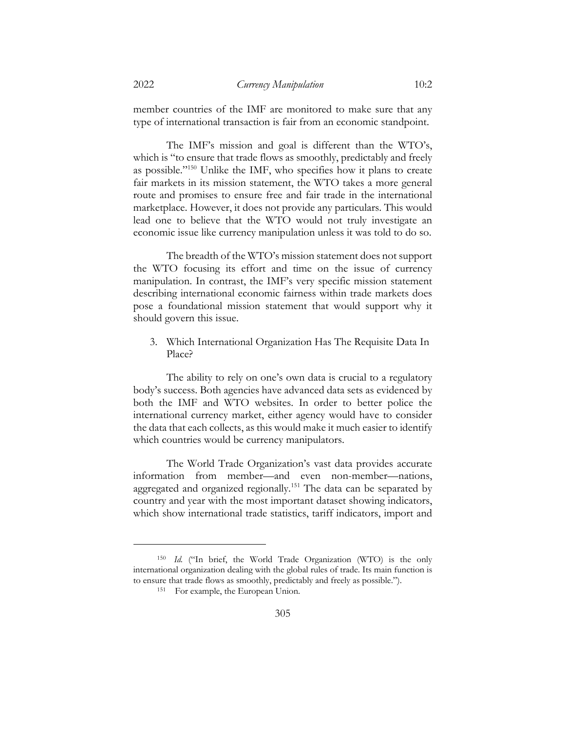member countries of the IMF are monitored to make sure that any type of international transaction is fair from an economic standpoint.

The IMF's mission and goal is different than the WTO's, which is "to ensure that trade flows as smoothly, predictably and freely as possible."150 Unlike the IMF, who specifies how it plans to create fair markets in its mission statement, the WTO takes a more general route and promises to ensure free and fair trade in the international marketplace. However, it does not provide any particulars. This would lead one to believe that the WTO would not truly investigate an economic issue like currency manipulation unless it was told to do so.

The breadth of the WTO's mission statement does not support the WTO focusing its effort and time on the issue of currency manipulation. In contrast, the IMF's very specific mission statement describing international economic fairness within trade markets does pose a foundational mission statement that would support why it should govern this issue.

3. Which International Organization Has The Requisite Data In Place?

The ability to rely on one's own data is crucial to a regulatory body's success. Both agencies have advanced data sets as evidenced by both the IMF and WTO websites. In order to better police the international currency market, either agency would have to consider the data that each collects, as this would make it much easier to identify which countries would be currency manipulators.

The World Trade Organization's vast data provides accurate information from member—and even non-member—nations, aggregated and organized regionally.<sup>151</sup> The data can be separated by country and year with the most important dataset showing indicators, which show international trade statistics, tariff indicators, import and

<sup>150</sup> *Id.* ("In brief, the World Trade Organization (WTO) is the only international organization dealing with the global rules of trade. Its main function is to ensure that trade flows as smoothly, predictably and freely as possible.").

<sup>151</sup> For example, the European Union.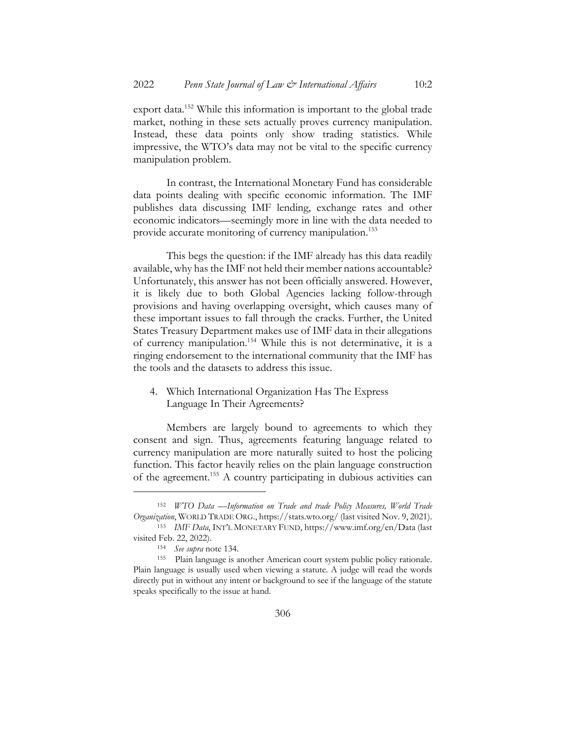export data. <sup>152</sup> While this information is important to the global trade market, nothing in these sets actually proves currency manipulation. Instead, these data points only show trading statistics. While impressive, the WTO's data may not be vital to the specific currency manipulation problem.

In contrast, the International Monetary Fund has considerable data points dealing with specific economic information. The IMF publishes data discussing IMF lending, exchange rates and other economic indicators—seemingly more in line with the data needed to provide accurate monitoring of currency manipulation.<sup>153</sup>

This begs the question: if the IMF already has this data readily available, why has the IMF not held their member nations accountable? Unfortunately, this answer has not been officially answered. However, it is likely due to both Global Agencies lacking follow-through provisions and having overlapping oversight, which causes many of these important issues to fall through the cracks. Further, the United States Treasury Department makes use of IMF data in their allegations of currency manipulation.154 While this is not determinative, it is a ringing endorsement to the international community that the IMF has the tools and the datasets to address this issue.

4. Which International Organization Has The Express Language In Their Agreements?

Members are largely bound to agreements to which they consent and sign. Thus, agreements featuring language related to currency manipulation are more naturally suited to host the policing function. This factor heavily relies on the plain language construction of the agreement.<sup>155</sup> A country participating in dubious activities can

<sup>152</sup> *WTO Data —Information on Trade and trade Policy Measures, World Trade Organization*, WORLD TRADE ORG., https://stats.wto.org/ (last visited Nov. 9, 2021). <sup>153</sup> *IMF Data*, INT'L MONETARY FUND, https://www.imf.org/en/Data (last

visited Feb. 22, 2022).

<sup>154</sup> *See supra* note 134.

<sup>155</sup> Plain language is another American court system public policy rationale. Plain language is usually used when viewing a statute. A judge will read the words directly put in without any intent or background to see if the language of the statute speaks specifically to the issue at hand.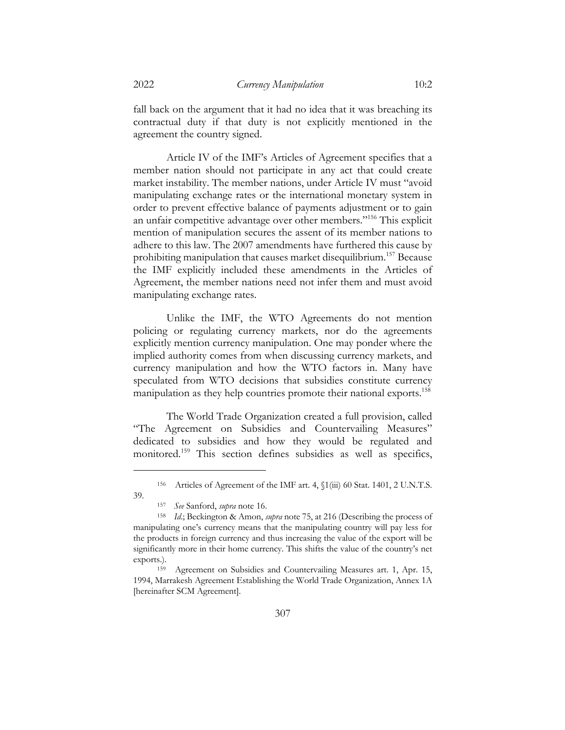fall back on the argument that it had no idea that it was breaching its contractual duty if that duty is not explicitly mentioned in the agreement the country signed.

Article IV of the IMF's Articles of Agreement specifies that a member nation should not participate in any act that could create market instability. The member nations, under Article IV must "avoid manipulating exchange rates or the international monetary system in order to prevent effective balance of payments adjustment or to gain an unfair competitive advantage over other members."156 This explicit mention of manipulation secures the assent of its member nations to adhere to this law. The 2007 amendments have furthered this cause by prohibiting manipulation that causes market disequilibrium.157 Because the IMF explicitly included these amendments in the Articles of Agreement, the member nations need not infer them and must avoid manipulating exchange rates.

Unlike the IMF, the WTO Agreements do not mention policing or regulating currency markets, nor do the agreements explicitly mention currency manipulation. One may ponder where the implied authority comes from when discussing currency markets, and currency manipulation and how the WTO factors in. Many have speculated from WTO decisions that subsidies constitute currency manipulation as they help countries promote their national exports.<sup>158</sup>

The World Trade Organization created a full provision, called "The Agreement on Subsidies and Countervailing Measures" dedicated to subsidies and how they would be regulated and monitored.159 This section defines subsidies as well as specifics,

<sup>156</sup> Articles of Agreement of the IMF art. 4, §1(iii) 60 Stat. 1401, 2 U.N.T.S. 39.

<sup>157</sup> *See* Sanford, *supra* note 16.

*Id*.; Beckington & Amon, *supra* note 75, at 216 (Describing the process of manipulating one's currency means that the manipulating country will pay less for the products in foreign currency and thus increasing the value of the export will be significantly more in their home currency. This shifts the value of the country's net exports.).

<sup>159</sup> Agreement on Subsidies and Countervailing Measures art. 1, Apr. 15, 1994, Marrakesh Agreement Establishing the World Trade Organization, Annex 1A [hereinafter SCM Agreement].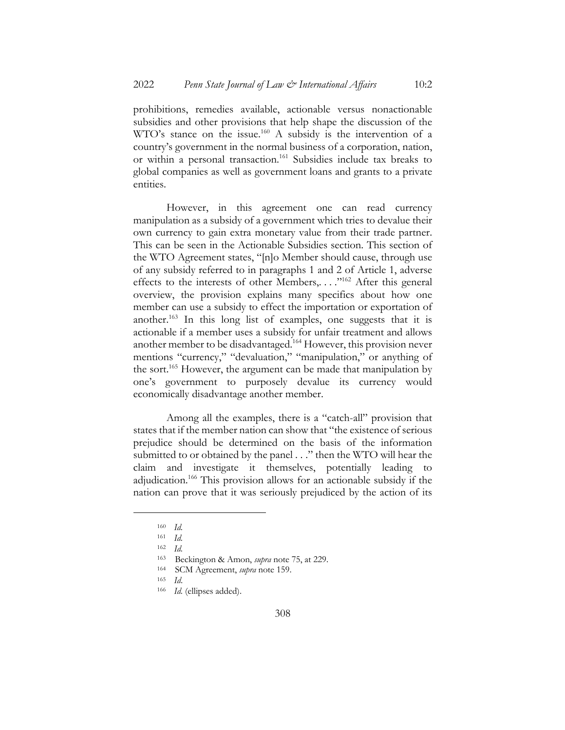prohibitions, remedies available, actionable versus nonactionable subsidies and other provisions that help shape the discussion of the WTO's stance on the issue.<sup>160</sup> A subsidy is the intervention of a country's government in the normal business of a corporation, nation, or within a personal transaction.<sup>161</sup> Subsidies include tax breaks to global companies as well as government loans and grants to a private entities.

However, in this agreement one can read currency manipulation as a subsidy of a government which tries to devalue their own currency to gain extra monetary value from their trade partner. This can be seen in the Actionable Subsidies section. This section of the WTO Agreement states, "[n]o Member should cause, through use of any subsidy referred to in paragraphs 1 and 2 of Article 1, adverse effects to the interests of other Members,...."<sup>162</sup> After this general overview, the provision explains many specifics about how one member can use a subsidy to effect the importation or exportation of another.<sup>163</sup> In this long list of examples, one suggests that it is actionable if a member uses a subsidy for unfair treatment and allows another member to be disadvantaged.164 However, this provision never mentions "currency," "devaluation," "manipulation," or anything of the sort.<sup>165</sup> However, the argument can be made that manipulation by one's government to purposely devalue its currency would economically disadvantage another member.

Among all the examples, there is a "catch-all" provision that states that if the member nation can show that "the existence of serious prejudice should be determined on the basis of the information submitted to or obtained by the panel . . ." then the WTO will hear the claim and investigate it themselves, potentially leading to adjudication.166 This provision allows for an actionable subsidy if the nation can prove that it was seriously prejudiced by the action of its

<sup>160</sup> *Id.*

<sup>161</sup> *Id.*

<sup>162</sup> *Id.*

<sup>163</sup> Beckington & Amon, *supra* note 75, at 229.

<sup>164</sup> SCM Agreement, *supra* note 159.

<sup>165</sup> *Id*.

<sup>166</sup> *Id.* (ellipses added).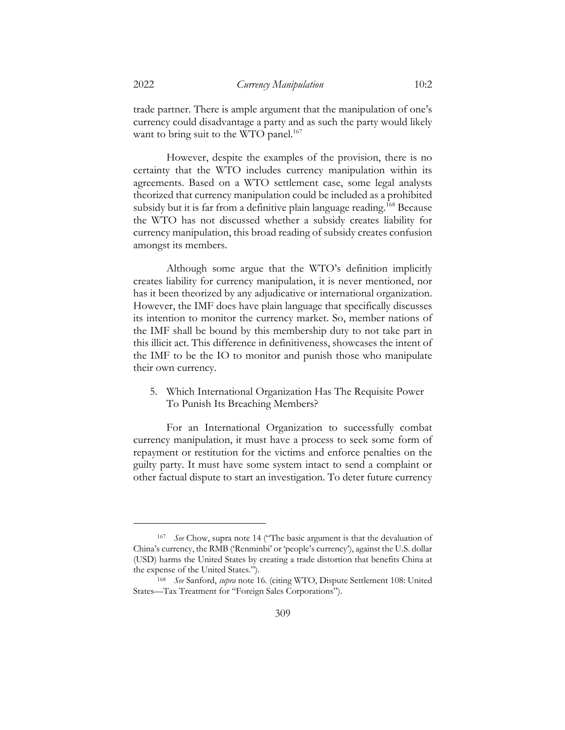trade partner. There is ample argument that the manipulation of one's currency could disadvantage a party and as such the party would likely want to bring suit to the WTO panel.<sup>167</sup>

However, despite the examples of the provision, there is no certainty that the WTO includes currency manipulation within its agreements. Based on a WTO settlement case, some legal analysts theorized that currency manipulation could be included as a prohibited subsidy but it is far from a definitive plain language reading.<sup>168</sup> Because the WTO has not discussed whether a subsidy creates liability for currency manipulation, this broad reading of subsidy creates confusion amongst its members.

Although some argue that the WTO's definition implicitly creates liability for currency manipulation, it is never mentioned, nor has it been theorized by any adjudicative or international organization. However, the IMF does have plain language that specifically discusses its intention to monitor the currency market. So, member nations of the IMF shall be bound by this membership duty to not take part in this illicit act. This difference in definitiveness, showcases the intent of the IMF to be the IO to monitor and punish those who manipulate their own currency.

5. Which International Organization Has The Requisite Power To Punish Its Breaching Members?

For an International Organization to successfully combat currency manipulation, it must have a process to seek some form of repayment or restitution for the victims and enforce penalties on the guilty party. It must have some system intact to send a complaint or other factual dispute to start an investigation. To deter future currency

<sup>167</sup> *See* Chow, supra note 14 ("The basic argument is that the devaluation of China's currency, the RMB ('Renminbi' or 'people's currency'), against the U.S. dollar (USD) harms the United States by creating a trade distortion that benefits China at the expense of the United States.").

<sup>168</sup> *See* Sanford, *supra* note 16. (citing WTO, Dispute Settlement 108: United States—Tax Treatment for "Foreign Sales Corporations").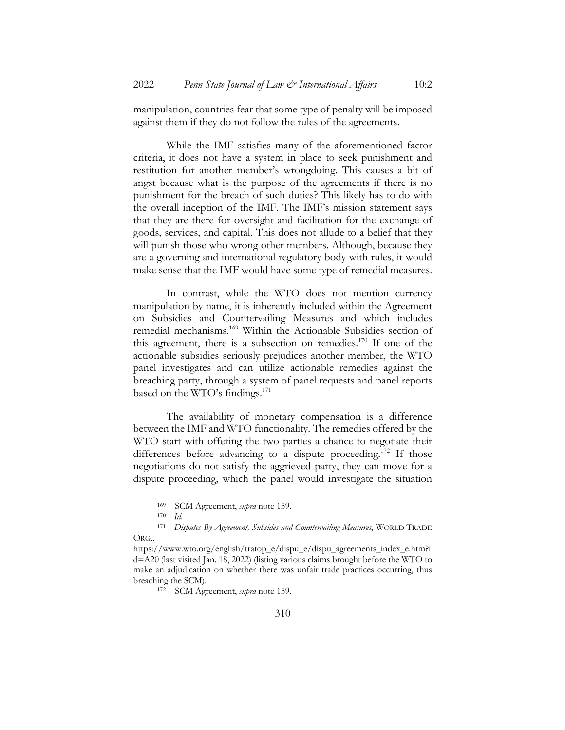manipulation, countries fear that some type of penalty will be imposed against them if they do not follow the rules of the agreements.

While the IMF satisfies many of the aforementioned factor criteria, it does not have a system in place to seek punishment and restitution for another member's wrongdoing. This causes a bit of angst because what is the purpose of the agreements if there is no punishment for the breach of such duties? This likely has to do with the overall inception of the IMF. The IMF's mission statement says that they are there for oversight and facilitation for the exchange of goods, services, and capital. This does not allude to a belief that they will punish those who wrong other members. Although, because they are a governing and international regulatory body with rules, it would make sense that the IMF would have some type of remedial measures.

In contrast, while the WTO does not mention currency manipulation by name, it is inherently included within the Agreement on Subsidies and Countervailing Measures and which includes remedial mechanisms.169 Within the Actionable Subsidies section of this agreement, there is a subsection on remedies. $170$  If one of the actionable subsidies seriously prejudices another member, the WTO panel investigates and can utilize actionable remedies against the breaching party, through a system of panel requests and panel reports based on the WTO's findings.<sup>171</sup>

The availability of monetary compensation is a difference between the IMF and WTO functionality. The remedies offered by the WTO start with offering the two parties a chance to negotiate their differences before advancing to a dispute proceeding.<sup>172</sup> If those negotiations do not satisfy the aggrieved party, they can move for a dispute proceeding, which the panel would investigate the situation

<sup>&</sup>lt;sup>169</sup> SCM Agreement, *supra* note 159.<br><sup>170</sup> Id

<sup>170</sup> *Id*.

<sup>171</sup> *Disputes By Agreement, Subsides and Countervailing Measures*, WORLD TRADE ORG.,

https://www.wto.org/english/tratop\_e/dispu\_e/dispu\_agreements\_index\_e.htm?i d=A20 (last visited Jan. 18, 2022) (listing various claims brought before the WTO to make an adjudication on whether there was unfair trade practices occurring, thus breaching the SCM).

<sup>172</sup> SCM Agreement, *supra* note 159.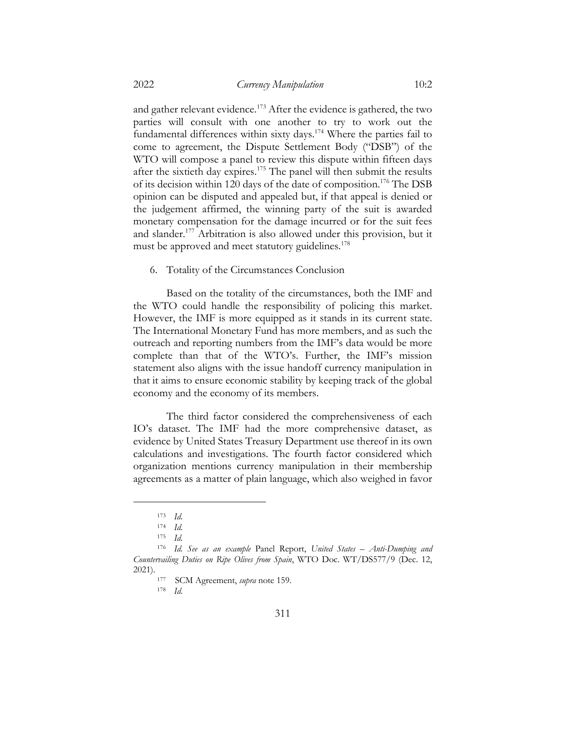and gather relevant evidence.<sup>173</sup> After the evidence is gathered, the two parties will consult with one another to try to work out the fundamental differences within sixty days.<sup>174</sup> Where the parties fail to come to agreement, the Dispute Settlement Body ("DSB") of the WTO will compose a panel to review this dispute within fifteen days after the sixtieth day expires.<sup>175</sup> The panel will then submit the results of its decision within 120 days of the date of composition.176 The DSB opinion can be disputed and appealed but, if that appeal is denied or the judgement affirmed, the winning party of the suit is awarded monetary compensation for the damage incurred or for the suit fees and slander.177 Arbitration is also allowed under this provision, but it must be approved and meet statutory guidelines.<sup>178</sup>

6. Totality of the Circumstances Conclusion

Based on the totality of the circumstances, both the IMF and the WTO could handle the responsibility of policing this market. However, the IMF is more equipped as it stands in its current state. The International Monetary Fund has more members, and as such the outreach and reporting numbers from the IMF's data would be more complete than that of the WTO's. Further, the IMF's mission statement also aligns with the issue handoff currency manipulation in that it aims to ensure economic stability by keeping track of the global economy and the economy of its members.

The third factor considered the comprehensiveness of each IO's dataset. The IMF had the more comprehensive dataset, as evidence by United States Treasury Department use thereof in its own calculations and investigations. The fourth factor considered which organization mentions currency manipulation in their membership agreements as a matter of plain language, which also weighed in favor

<sup>177</sup> SCM Agreement, *supra* note 159.

<sup>178</sup> *Id.*

<sup>173</sup> *Id.*

<sup>174</sup> *Id.*

<sup>175</sup> *Id.*

<sup>176</sup> *Id. See as an example* Panel Report, *United States – Anti-Dumping and Countervailing Duties on Ripe Olives from Spain*, WTO Doc. WT/DS577/9 (Dec. 12, 2021).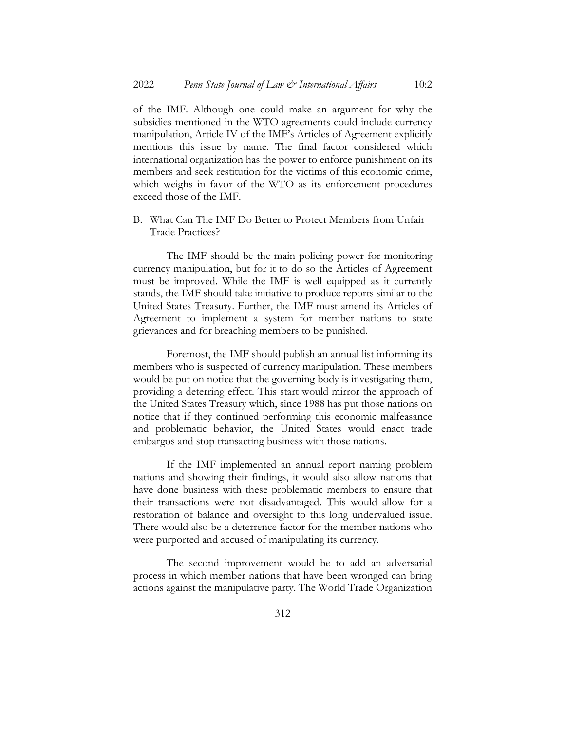of the IMF. Although one could make an argument for why the subsidies mentioned in the WTO agreements could include currency manipulation, Article IV of the IMF's Articles of Agreement explicitly mentions this issue by name. The final factor considered which international organization has the power to enforce punishment on its members and seek restitution for the victims of this economic crime, which weighs in favor of the WTO as its enforcement procedures exceed those of the IMF.

B. What Can The IMF Do Better to Protect Members from Unfair Trade Practices?

The IMF should be the main policing power for monitoring currency manipulation, but for it to do so the Articles of Agreement must be improved. While the IMF is well equipped as it currently stands, the IMF should take initiative to produce reports similar to the United States Treasury. Further, the IMF must amend its Articles of Agreement to implement a system for member nations to state grievances and for breaching members to be punished.

Foremost, the IMF should publish an annual list informing its members who is suspected of currency manipulation. These members would be put on notice that the governing body is investigating them, providing a deterring effect. This start would mirror the approach of the United States Treasury which, since 1988 has put those nations on notice that if they continued performing this economic malfeasance and problematic behavior, the United States would enact trade embargos and stop transacting business with those nations.

If the IMF implemented an annual report naming problem nations and showing their findings, it would also allow nations that have done business with these problematic members to ensure that their transactions were not disadvantaged. This would allow for a restoration of balance and oversight to this long undervalued issue. There would also be a deterrence factor for the member nations who were purported and accused of manipulating its currency.

The second improvement would be to add an adversarial process in which member nations that have been wronged can bring actions against the manipulative party. The World Trade Organization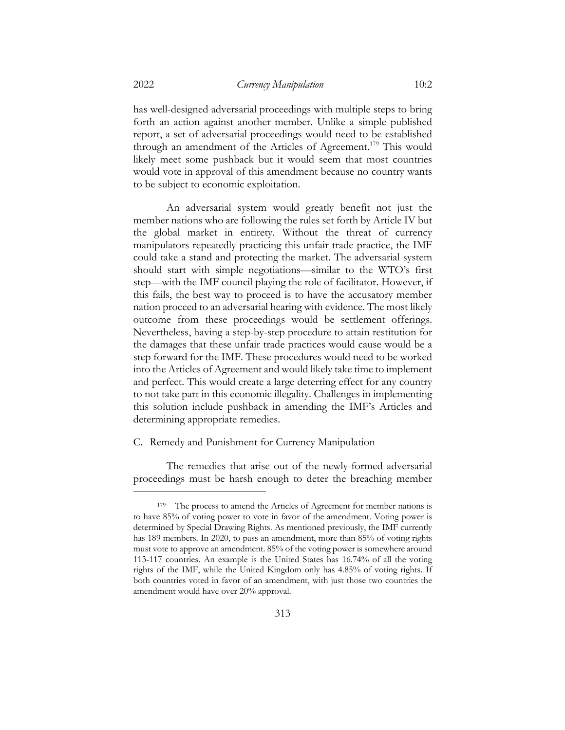has well-designed adversarial proceedings with multiple steps to bring forth an action against another member. Unlike a simple published report, a set of adversarial proceedings would need to be established through an amendment of the Articles of Agreement.<sup>179</sup> This would likely meet some pushback but it would seem that most countries would vote in approval of this amendment because no country wants to be subject to economic exploitation.

An adversarial system would greatly benefit not just the member nations who are following the rules set forth by Article IV but the global market in entirety. Without the threat of currency manipulators repeatedly practicing this unfair trade practice, the IMF could take a stand and protecting the market. The adversarial system should start with simple negotiations—similar to the WTO's first step—with the IMF council playing the role of facilitator. However, if this fails, the best way to proceed is to have the accusatory member nation proceed to an adversarial hearing with evidence. The most likely outcome from these proceedings would be settlement offerings. Nevertheless, having a step-by-step procedure to attain restitution for the damages that these unfair trade practices would cause would be a step forward for the IMF. These procedures would need to be worked into the Articles of Agreement and would likely take time to implement and perfect. This would create a large deterring effect for any country to not take part in this economic illegality. Challenges in implementing this solution include pushback in amending the IMF's Articles and determining appropriate remedies.

#### C. Remedy and Punishment for Currency Manipulation

The remedies that arise out of the newly-formed adversarial proceedings must be harsh enough to deter the breaching member

<sup>&</sup>lt;sup>179</sup> The process to amend the Articles of Agreement for member nations is to have 85% of voting power to vote in favor of the amendment. Voting power is determined by Special Drawing Rights. As mentioned previously, the IMF currently has 189 members. In 2020, to pass an amendment, more than 85% of voting rights must vote to approve an amendment. 85% of the voting power is somewhere around 113-117 countries. An example is the United States has 16.74% of all the voting rights of the IMF, while the United Kingdom only has 4.85% of voting rights. If both countries voted in favor of an amendment, with just those two countries the amendment would have over 20% approval.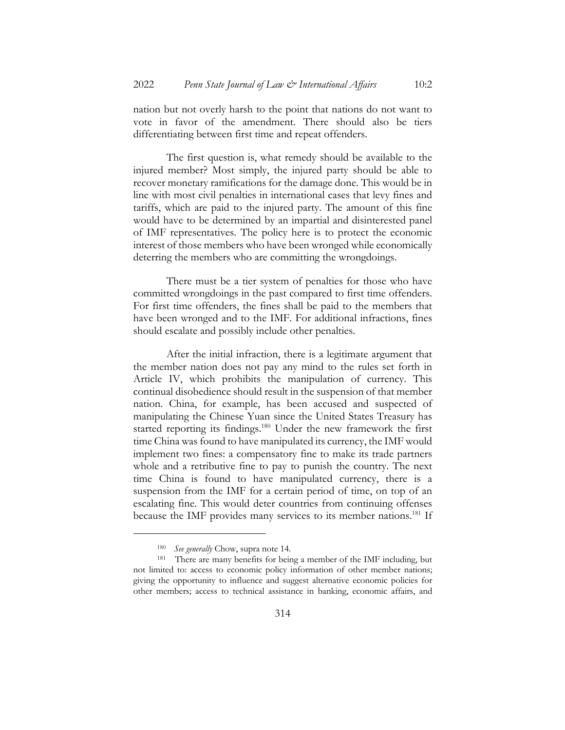nation but not overly harsh to the point that nations do not want to vote in favor of the amendment. There should also be tiers differentiating between first time and repeat offenders.

The first question is, what remedy should be available to the injured member? Most simply, the injured party should be able to recover monetary ramifications for the damage done. This would be in line with most civil penalties in international cases that levy fines and tariffs, which are paid to the injured party. The amount of this fine would have to be determined by an impartial and disinterested panel of IMF representatives. The policy here is to protect the economic interest of those members who have been wronged while economically deterring the members who are committing the wrongdoings.

There must be a tier system of penalties for those who have committed wrongdoings in the past compared to first time offenders. For first time offenders, the fines shall be paid to the members that have been wronged and to the IMF. For additional infractions, fines should escalate and possibly include other penalties.

After the initial infraction, there is a legitimate argument that the member nation does not pay any mind to the rules set forth in Article IV, which prohibits the manipulation of currency. This continual disobedience should result in the suspension of that member nation. China, for example, has been accused and suspected of manipulating the Chinese Yuan since the United States Treasury has started reporting its findings.<sup>180</sup> Under the new framework the first time China was found to have manipulated its currency, the IMF would implement two fines: a compensatory fine to make its trade partners whole and a retributive fine to pay to punish the country. The next time China is found to have manipulated currency, there is a suspension from the IMF for a certain period of time, on top of an escalating fine. This would deter countries from continuing offenses because the IMF provides many services to its member nations.<sup>181</sup> If

<sup>180</sup> *See generally* Chow, supra note 14.

<sup>181</sup> There are many benefits for being a member of the IMF including, but not limited to: access to economic policy information of other member nations; giving the opportunity to influence and suggest alternative economic policies for other members; access to technical assistance in banking, economic affairs, and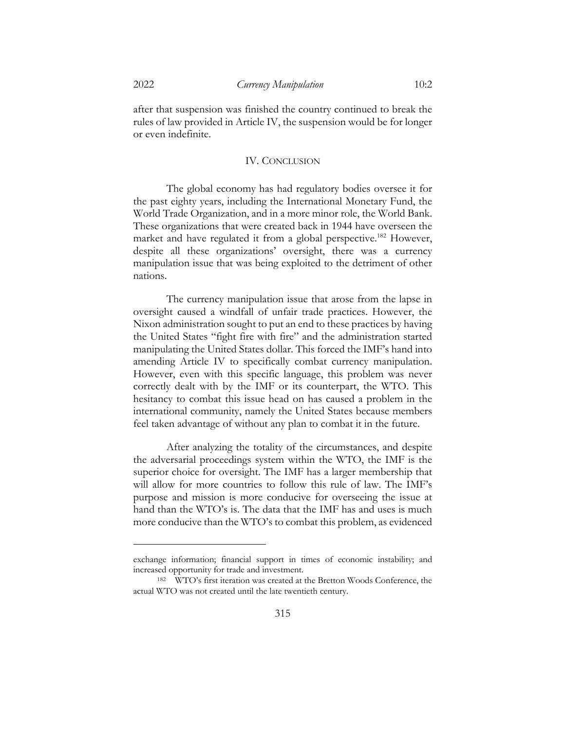after that suspension was finished the country continued to break the rules of law provided in Article IV, the suspension would be for longer or even indefinite.

#### IV. CONCLUSION

The global economy has had regulatory bodies oversee it for the past eighty years, including the International Monetary Fund, the World Trade Organization, and in a more minor role, the World Bank. These organizations that were created back in 1944 have overseen the market and have regulated it from a global perspective.<sup>182</sup> However, despite all these organizations' oversight, there was a currency manipulation issue that was being exploited to the detriment of other nations.

The currency manipulation issue that arose from the lapse in oversight caused a windfall of unfair trade practices. However, the Nixon administration sought to put an end to these practices by having the United States "fight fire with fire" and the administration started manipulating the United States dollar. This forced the IMF's hand into amending Article IV to specifically combat currency manipulation. However, even with this specific language, this problem was never correctly dealt with by the IMF or its counterpart, the WTO. This hesitancy to combat this issue head on has caused a problem in the international community, namely the United States because members feel taken advantage of without any plan to combat it in the future.

After analyzing the totality of the circumstances, and despite the adversarial proceedings system within the WTO, the IMF is the superior choice for oversight. The IMF has a larger membership that will allow for more countries to follow this rule of law. The IMF's purpose and mission is more conducive for overseeing the issue at hand than the WTO's is. The data that the IMF has and uses is much more conducive than the WTO's to combat this problem, as evidenced

exchange information; financial support in times of economic instability; and increased opportunity for trade and investment.

<sup>182</sup> WTO's first iteration was created at the Bretton Woods Conference, the actual WTO was not created until the late twentieth century.